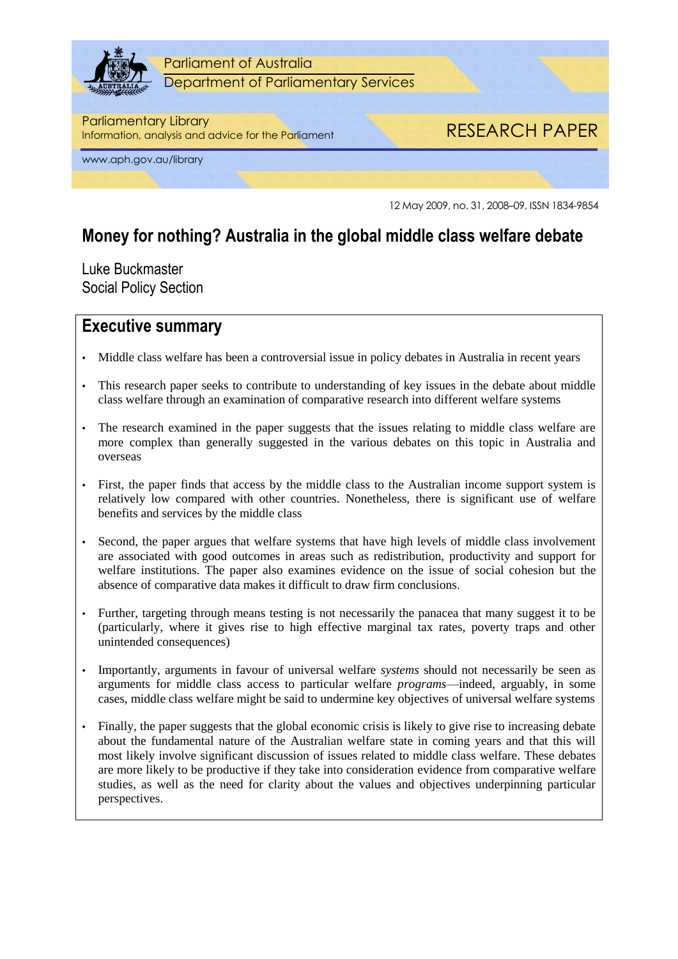

Parliament of Australia Department of Parliamentary Services

### Parliamentary Library

Information, analysis and advice for the Parliament RESEARCH PAPER

www.aph.gov.au/library

12 May 2009, no. 31, 2008–09, ISSN 1834-9854

## **Money for nothing? Australia in the global middle class welfare debate**

Luke Buckmaster Social Policy Section

### **Executive summary**

- Middle class welfare has been a controversial issue in policy debates in Australia in recent years
- This research paper seeks to contribute to understanding of key issues in the debate about middle class welfare through an examination of comparative research into different welfare systems
- The research examined in the paper suggests that the issues relating to middle class welfare are more complex than generally suggested in the various debates on this topic in Australia and overseas
- First, the paper finds that access by the middle class to the Australian income support system is relatively low compared with other countries. Nonetheless, there is significant use of welfare benefits and services by the middle class
- Second, the paper argues that welfare systems that have high levels of middle class involvement are associated with good outcomes in areas such as redistribution, productivity and support for welfare institutions. The paper also examines evidence on the issue of social cohesion but the absence of comparative data makes it difficult to draw firm conclusions.
- Further, targeting through means testing is not necessarily the panacea that many suggest it to be (particularly, where it gives rise to high effective marginal tax rates, poverty traps and other unintended consequences)
- Importantly, arguments in favour of universal welfare *systems* should not necessarily be seen as arguments for middle class access to particular welfare *programs*—indeed, arguably, in some cases, middle class welfare might be said to undermine key objectives of universal welfare systems
- Finally, the paper suggests that the global economic crisis is likely to give rise to increasing debate about the fundamental nature of the Australian welfare state in coming years and that this will most likely involve significant discussion of issues related to middle class welfare. These debates are more likely to be productive if they take into consideration evidence from comparative welfare studies, as well as the need for clarity about the values and objectives underpinning particular perspectives.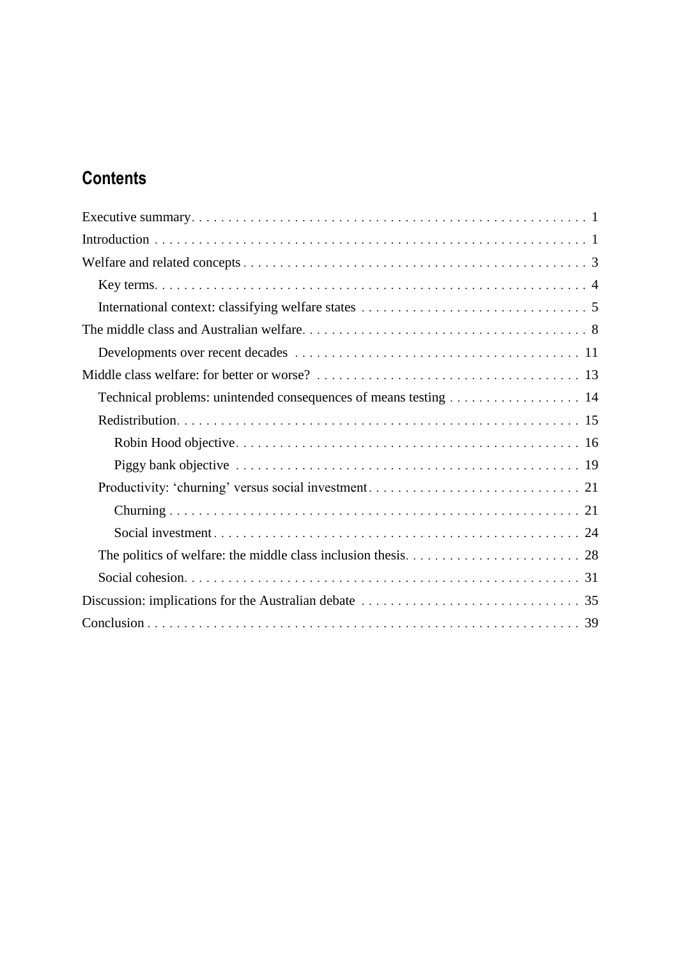# **Contents**

| Technical problems: unintended consequences of means testing 14 |
|-----------------------------------------------------------------|
|                                                                 |
|                                                                 |
|                                                                 |
|                                                                 |
|                                                                 |
|                                                                 |
|                                                                 |
|                                                                 |
|                                                                 |
|                                                                 |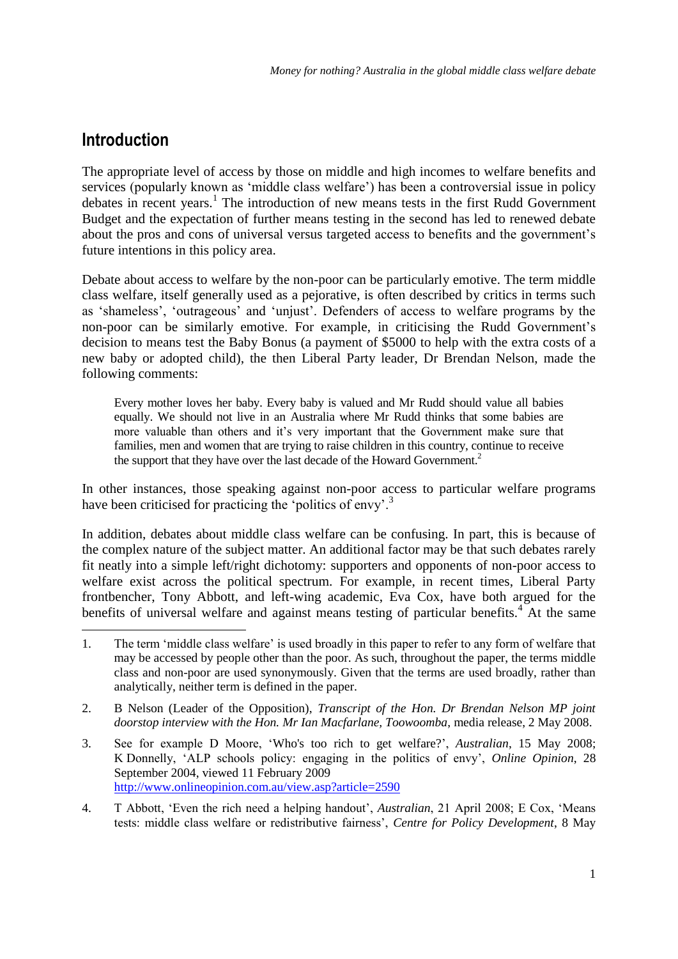## **Introduction**

-

The appropriate level of access by those on middle and high incomes to welfare benefits and services (popularly known as 'middle class welfare') has been a controversial issue in policy debates in recent years.<sup>1</sup> The introduction of new means tests in the first Rudd Government Budget and the expectation of further means testing in the second has led to renewed debate about the pros and cons of universal versus targeted access to benefits and the government's future intentions in this policy area.

Debate about access to welfare by the non-poor can be particularly emotive. The term middle class welfare, itself generally used as a pejorative, is often described by critics in terms such as 'shameless', 'outrageous' and 'unjust'. Defenders of access to welfare programs by the non-poor can be similarly emotive. For example, in criticising the Rudd Government's decision to means test the Baby Bonus (a payment of \$5000 to help with the extra costs of a new baby or adopted child), the then Liberal Party leader, Dr Brendan Nelson, made the following comments:

Every mother loves her baby. Every baby is valued and Mr Rudd should value all babies equally. We should not live in an Australia where Mr Rudd thinks that some babies are more valuable than others and it's very important that the Government make sure that families, men and women that are trying to raise children in this country, continue to receive the support that they have over the last decade of the Howard Government.<sup>2</sup>

In other instances, those speaking against non-poor access to particular welfare programs have been criticised for practicing the 'politics of envy'.<sup>3</sup>

In addition, debates about middle class welfare can be confusing. In part, this is because of the complex nature of the subject matter. An additional factor may be that such debates rarely fit neatly into a simple left/right dichotomy: supporters and opponents of non-poor access to welfare exist across the political spectrum. For example, in recent times, Liberal Party frontbencher, Tony Abbott, and left-wing academic, Eva Cox, have both argued for the benefits of universal welfare and against means testing of particular benefits.<sup>4</sup> At the same

- 2. B Nelson (Leader of the Opposition), *Transcript of the Hon. Dr Brendan Nelson MP joint doorstop interview with the Hon. Mr Ian Macfarlane, Toowoomba*, media release, 2 May 2008.
- 3. See for example D Moore, ‗Who's too rich to get welfare?', *Australian*, 15 May 2008; K Donnelly, ‗ALP schools policy: engaging in the politics of envy', *Online Opinion*, 28 September 2004, viewed 11 February 2009 <http://www.onlineopinion.com.au/view.asp?article=2590>
- 4. T Abbott, ‗Even the rich need a helping handout', *Australian*, 21 April 2008; E Cox, ‗Means tests: middle class welfare or redistributive fairness', *Centre for Policy Development*, 8 May

<sup>1.</sup> The term 'middle class welfare' is used broadly in this paper to refer to any form of welfare that may be accessed by people other than the poor. As such, throughout the paper, the terms middle class and non-poor are used synonymously. Given that the terms are used broadly, rather than analytically, neither term is defined in the paper.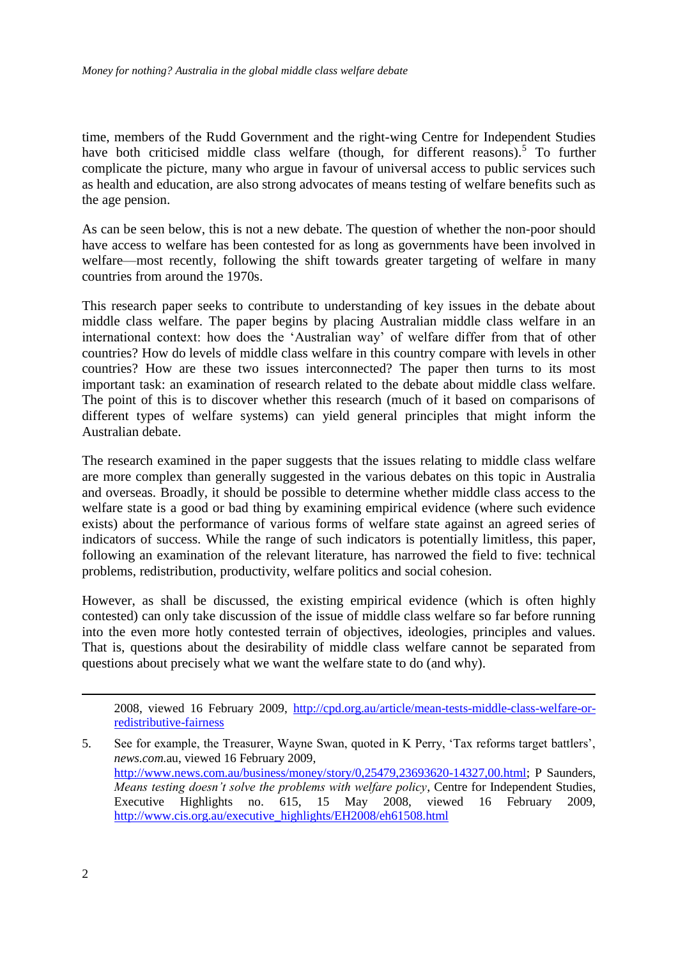time, members of the Rudd Government and the right-wing Centre for Independent Studies have both criticised middle class welfare (though, for different reasons).<sup>5</sup> To further complicate the picture, many who argue in favour of universal access to public services such as health and education, are also strong advocates of means testing of welfare benefits such as the age pension.

As can be seen below, this is not a new debate. The question of whether the non-poor should have access to welfare has been contested for as long as governments have been involved in welfare—most recently, following the shift towards greater targeting of welfare in many countries from around the 1970s.

This research paper seeks to contribute to understanding of key issues in the debate about middle class welfare. The paper begins by placing Australian middle class welfare in an international context: how does the 'Australian way' of welfare differ from that of other countries? How do levels of middle class welfare in this country compare with levels in other countries? How are these two issues interconnected? The paper then turns to its most important task: an examination of research related to the debate about middle class welfare. The point of this is to discover whether this research (much of it based on comparisons of different types of welfare systems) can yield general principles that might inform the Australian debate.

The research examined in the paper suggests that the issues relating to middle class welfare are more complex than generally suggested in the various debates on this topic in Australia and overseas. Broadly, it should be possible to determine whether middle class access to the welfare state is a good or bad thing by examining empirical evidence (where such evidence exists) about the performance of various forms of welfare state against an agreed series of indicators of success. While the range of such indicators is potentially limitless, this paper, following an examination of the relevant literature, has narrowed the field to five: technical problems, redistribution, productivity, welfare politics and social cohesion.

However, as shall be discussed, the existing empirical evidence (which is often highly contested) can only take discussion of the issue of middle class welfare so far before running into the even more hotly contested terrain of objectives, ideologies, principles and values. That is, questions about the desirability of middle class welfare cannot be separated from questions about precisely what we want the welfare state to do (and why).

2008, viewed 16 February 2009, [http://cpd.org.au/article/mean-tests-middle-class-welfare-or](http://cpd.org.au/article/mean-tests-middle-class-welfare-or-redistributive-fairness)[redistributive-fairness](http://cpd.org.au/article/mean-tests-middle-class-welfare-or-redistributive-fairness)

5. See for example, the Treasurer, Wayne Swan, quoted in K Perry, ‗Tax reforms target battlers', *news.com.*au, viewed 16 February 2009, [http://www.news.com.au/business/money/story/0,25479,23693620-14327,00.html;](http://www.news.com.au/business/money/story/0,25479,23693620-14327,00.html) P Saunders, *Means testing doesn't solve the problems with welfare policy*, Centre for Independent Studies, Executive Highlights no. 615, 15 May 2008, viewed 16 February 2009, [http://www.cis.org.au/executive\\_highlights/EH2008/eh61508.html](http://www.cis.org.au/executive_highlights/EH2008/eh61508.html)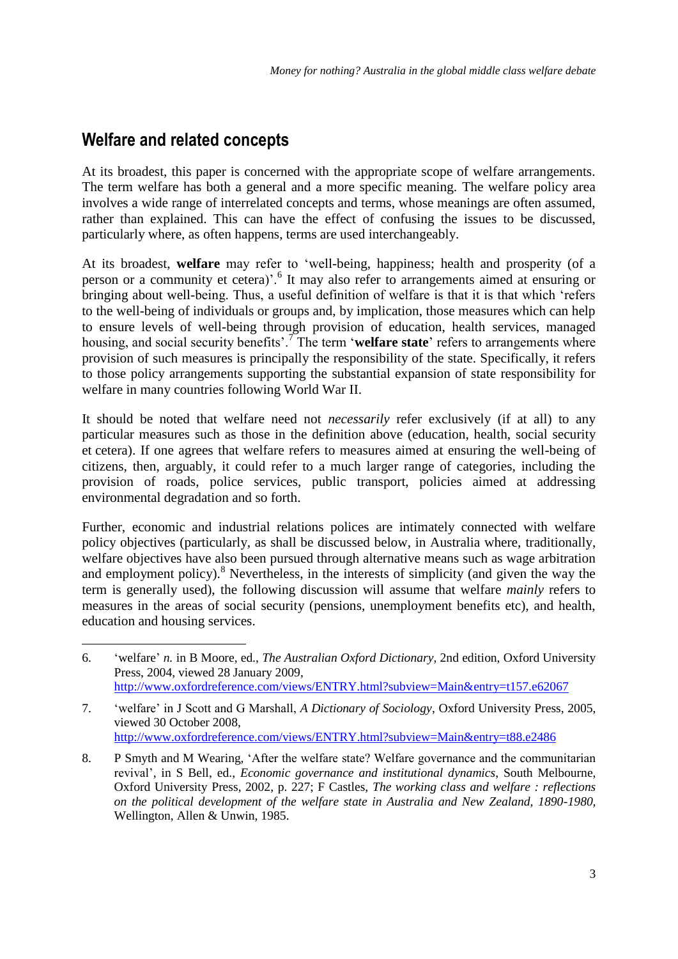## **Welfare and related concepts**

<u>.</u>

At its broadest, this paper is concerned with the appropriate scope of welfare arrangements. The term welfare has both a general and a more specific meaning. The welfare policy area involves a wide range of interrelated concepts and terms, whose meanings are often assumed, rather than explained. This can have the effect of confusing the issues to be discussed, particularly where, as often happens, terms are used interchangeably.

At its broadest, welfare may refer to 'well-being, happiness; health and prosperity (of a person or a community et cetera)'.<sup>6</sup> It may also refer to arrangements aimed at ensuring or bringing about well-being. Thus, a useful definition of welfare is that it is that which 'refers to the well-being of individuals or groups and, by implication, those measures which can help to ensure levels of well-being through provision of education, health services, managed housing, and social security benefits'.<sup>7</sup>The term 'welfare state' refers to arrangements where provision of such measures is principally the responsibility of the state. Specifically, it refers to those policy arrangements supporting the substantial expansion of state responsibility for welfare in many countries following World War II.

It should be noted that welfare need not *necessarily* refer exclusively (if at all) to any particular measures such as those in the definition above (education, health, social security et cetera). If one agrees that welfare refers to measures aimed at ensuring the well-being of citizens, then, arguably, it could refer to a much larger range of categories, including the provision of roads, police services, public transport, policies aimed at addressing environmental degradation and so forth.

Further, economic and industrial relations polices are intimately connected with welfare policy objectives (particularly, as shall be discussed below, in Australia where, traditionally, welfare objectives have also been pursued through alternative means such as wage arbitration and employment policy).<sup>8</sup> Nevertheless, in the interests of simplicity (and given the way the term is generally used), the following discussion will assume that welfare *mainly* refers to measures in the areas of social security (pensions, unemployment benefits etc), and health, education and housing services.

<sup>6.</sup> ‗welfare' *n.* in B Moore, ed., *The Australian Oxford Dictionary*, 2nd edition, Oxford University Press, 2004, viewed 28 January 2009, <http://www.oxfordreference.com/views/ENTRY.html?subview=Main&entry=t157.e62067>

<sup>7.</sup> ‗welfare' in J Scott and G Marshall, *A Dictionary of Sociology*, Oxford University Press, 2005, viewed 30 October 2008, <http://www.oxfordreference.com/views/ENTRY.html?subview=Main&entry=t88.e2486>

<sup>8.</sup> P Smyth and M Wearing, ‗After the welfare state? Welfare governance and the communitarian revival', in S Bell, ed., *Economic governance and institutional dynamics*, South Melbourne, Oxford University Press, 2002, p. 227; F Castles, *The working class and welfare : reflections on the political development of the welfare state in Australia and New Zealand, 1890-1980,*  Wellington, Allen & Unwin, 1985.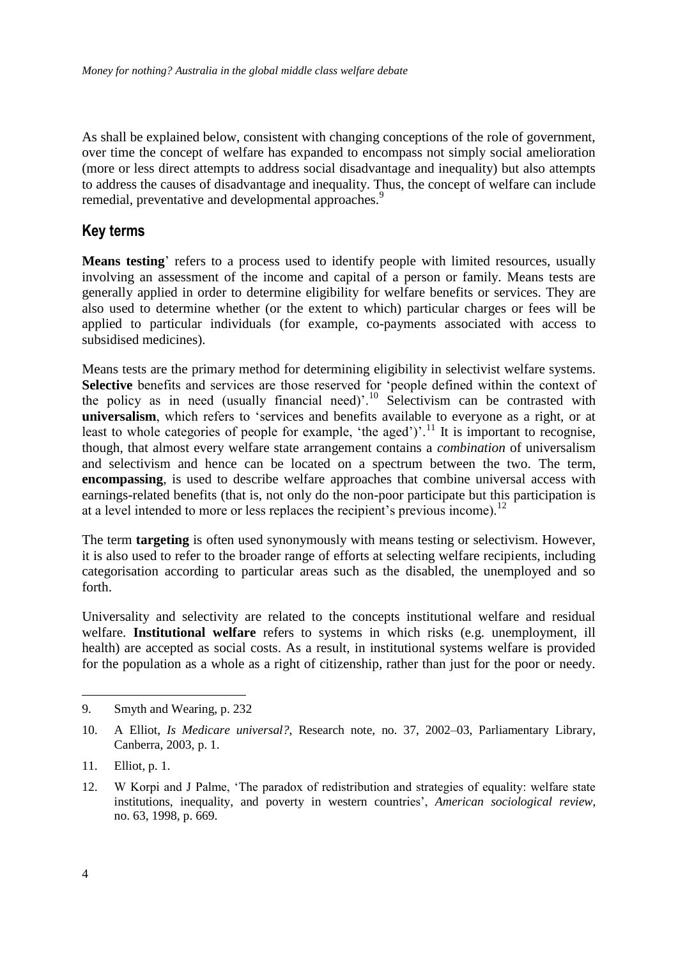As shall be explained below, consistent with changing conceptions of the role of government, over time the concept of welfare has expanded to encompass not simply social amelioration (more or less direct attempts to address social disadvantage and inequality) but also attempts to address the causes of disadvantage and inequality. Thus, the concept of welfare can include remedial, preventative and developmental approaches.<sup>9</sup>

#### **Key terms**

**Means testing**' refers to a process used to identify people with limited resources, usually involving an assessment of the income and capital of a person or family. Means tests are generally applied in order to determine eligibility for welfare benefits or services. They are also used to determine whether (or the extent to which) particular charges or fees will be applied to particular individuals (for example, co-payments associated with access to subsidised medicines).

Means tests are the primary method for determining eligibility in selectivist welfare systems. Selective benefits and services are those reserved for 'people defined within the context of the policy as in need (usually financial need)<sup>'.10</sup> Selectivism can be contrasted with universalism, which refers to 'services and benefits available to everyone as a right, or at least to whole categories of people for example, 'the aged')'.<sup>11</sup> It is important to recognise, though, that almost every welfare state arrangement contains a *combination* of universalism and selectivism and hence can be located on a spectrum between the two. The term, **encompassing**, is used to describe welfare approaches that combine universal access with earnings-related benefits (that is, not only do the non-poor participate but this participation is at a level intended to more or less replaces the recipient's previous income).<sup>12</sup>

The term **targeting** is often used synonymously with means testing or selectivism. However, it is also used to refer to the broader range of efforts at selecting welfare recipients, including categorisation according to particular areas such as the disabled, the unemployed and so forth.

Universality and selectivity are related to the concepts institutional welfare and residual welfare. **Institutional welfare** refers to systems in which risks (e.g. unemployment, ill health) are accepted as social costs. As a result, in institutional systems welfare is provided for the population as a whole as a right of citizenship, rather than just for the poor or needy.

<sup>9.</sup> Smyth and Wearing, p. 232

<sup>10.</sup> A Elliot, *Is Medicare universal?*, Research note, no. 37, 2002–03, Parliamentary Library, Canberra, 2003, p. 1.

<sup>11.</sup> Elliot, p. 1.

<sup>12.</sup> W Korpi and J Palme, 'The paradox of redistribution and strategies of equality: welfare state institutions, inequality, and poverty in western countries', *American sociological review*, no. 63, 1998, p. 669.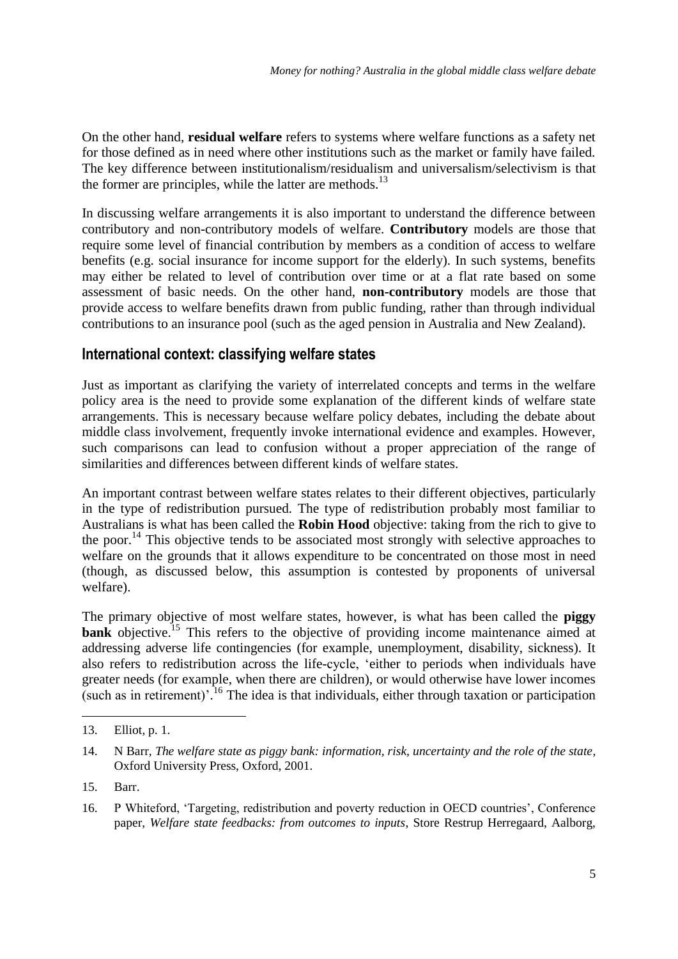On the other hand, **residual welfare** refers to systems where welfare functions as a safety net for those defined as in need where other institutions such as the market or family have failed. The key difference between institutionalism/residualism and universalism/selectivism is that the former are principles, while the latter are methods. $^{13}$ 

In discussing welfare arrangements it is also important to understand the difference between contributory and non-contributory models of welfare. **Contributory** models are those that require some level of financial contribution by members as a condition of access to welfare benefits (e.g. social insurance for income support for the elderly). In such systems, benefits may either be related to level of contribution over time or at a flat rate based on some assessment of basic needs. On the other hand, **non-contributory** models are those that provide access to welfare benefits drawn from public funding, rather than through individual contributions to an insurance pool (such as the aged pension in Australia and New Zealand).

### **International context: classifying welfare states**

Just as important as clarifying the variety of interrelated concepts and terms in the welfare policy area is the need to provide some explanation of the different kinds of welfare state arrangements. This is necessary because welfare policy debates, including the debate about middle class involvement, frequently invoke international evidence and examples. However, such comparisons can lead to confusion without a proper appreciation of the range of similarities and differences between different kinds of welfare states.

An important contrast between welfare states relates to their different objectives, particularly in the type of redistribution pursued. The type of redistribution probably most familiar to Australians is what has been called the **Robin Hood** objective: taking from the rich to give to the poor.<sup>14</sup> This objective tends to be associated most strongly with selective approaches to welfare on the grounds that it allows expenditure to be concentrated on those most in need (though, as discussed below, this assumption is contested by proponents of universal welfare).

The primary objective of most welfare states, however, is what has been called the **piggy bank** objective.<sup>15</sup> This refers to the objective of providing income maintenance aimed at addressing adverse life contingencies (for example, unemployment, disability, sickness). It also refers to redistribution across the life-cycle, 'either to periods when individuals have greater needs (for example, when there are children), or would otherwise have lower incomes (such as in retirement)<sup>7.16</sup> The idea is that individuals, either through taxation or participation

<sup>13.</sup> Elliot, p. 1.

<sup>14.</sup> N Barr, *The welfare state as piggy bank: information, risk, uncertainty and the role of the state*, Oxford University Press, Oxford, 2001.

<sup>15.</sup> Barr.

<sup>16.</sup> P Whiteford, ‗Targeting, redistribution and poverty reduction in OECD countries', Conference paper, *Welfare state feedbacks: from outcomes to inputs*, Store Restrup Herregaard, Aalborg,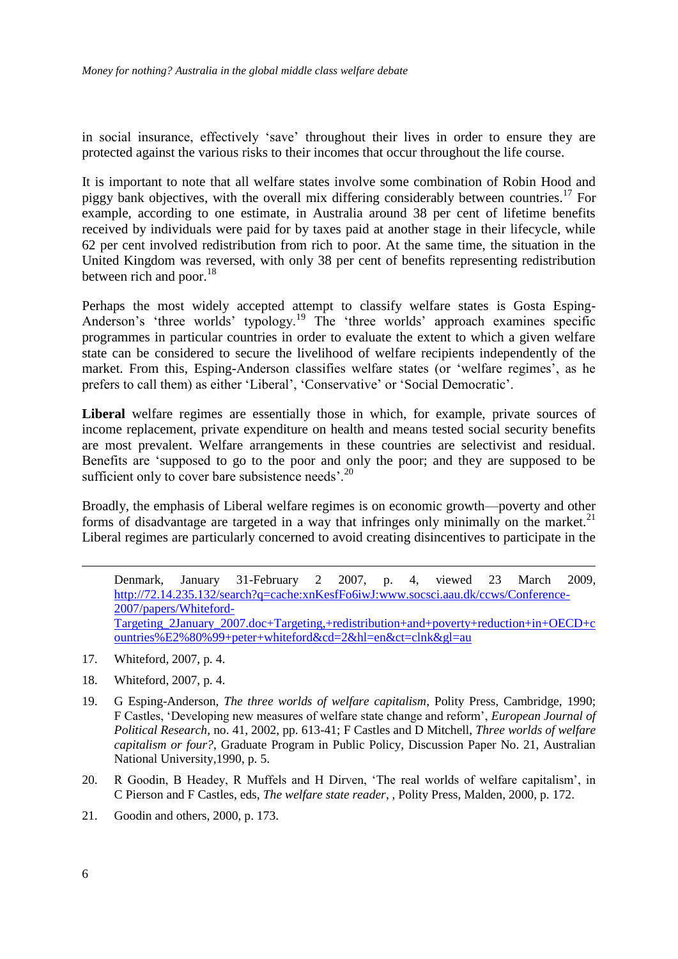in social insurance, effectively 'save' throughout their lives in order to ensure they are protected against the various risks to their incomes that occur throughout the life course.

It is important to note that all welfare states involve some combination of Robin Hood and piggy bank objectives, with the overall mix differing considerably between countries.<sup>17</sup> For example, according to one estimate, in Australia around 38 per cent of lifetime benefits received by individuals were paid for by taxes paid at another stage in their lifecycle, while 62 per cent involved redistribution from rich to poor. At the same time, the situation in the United Kingdom was reversed, with only 38 per cent of benefits representing redistribution between rich and poor. $18$ 

Perhaps the most widely accepted attempt to classify welfare states is Gosta Esping-Anderson's 'three worlds' typology.<sup>19</sup> The 'three worlds' approach examines specific programmes in particular countries in order to evaluate the extent to which a given welfare state can be considered to secure the livelihood of welfare recipients independently of the market. From this, Esping-Anderson classifies welfare states (or 'welfare regimes', as he prefers to call them) as either 'Liberal', 'Conservative' or 'Social Democratic'.

**Liberal** welfare regimes are essentially those in which, for example, private sources of income replacement, private expenditure on health and means tested social security benefits are most prevalent. Welfare arrangements in these countries are selectivist and residual. Benefits are 'supposed to go to the poor and only the poor; and they are supposed to be sufficient only to cover bare subsistence needs'.<sup>20</sup>

Broadly, the emphasis of Liberal welfare regimes is on economic growth—poverty and other forms of disadvantage are targeted in a way that infringes only minimally on the market.<sup>21</sup> Liberal regimes are particularly concerned to avoid creating disincentives to participate in the

Denmark, January 31-February 2 2007, p. 4, viewed 23 March 2009, [http://72.14.235.132/search?q=cache:xnKesfFo6iwJ:www.socsci.aau.dk/ccws/Conference-](http://72.14.235.132/search?q=cache:xnKesfFo6iwJ:www.socsci.aau.dk/ccws/Conference-2007/papers/Whiteford-Targeting_2January_2007.doc+Targeting,+redistribution+and+poverty+reduction+in+OECD+countries%E2%80%99+peter+whiteford&cd=2&hl=en&ct=clnk&gl=au)[2007/papers/Whiteford-](http://72.14.235.132/search?q=cache:xnKesfFo6iwJ:www.socsci.aau.dk/ccws/Conference-2007/papers/Whiteford-Targeting_2January_2007.doc+Targeting,+redistribution+and+poverty+reduction+in+OECD+countries%E2%80%99+peter+whiteford&cd=2&hl=en&ct=clnk&gl=au)[Targeting\\_2January\\_2007.doc+Targeting,+redistribution+and+poverty+reduction+in+OECD+c](http://72.14.235.132/search?q=cache:xnKesfFo6iwJ:www.socsci.aau.dk/ccws/Conference-2007/papers/Whiteford-Targeting_2January_2007.doc+Targeting,+redistribution+and+poverty+reduction+in+OECD+countries%E2%80%99+peter+whiteford&cd=2&hl=en&ct=clnk&gl=au) [ountries%E2%80%99+peter+whiteford&cd=2&hl=en&ct=clnk&gl=au](http://72.14.235.132/search?q=cache:xnKesfFo6iwJ:www.socsci.aau.dk/ccws/Conference-2007/papers/Whiteford-Targeting_2January_2007.doc+Targeting,+redistribution+and+poverty+reduction+in+OECD+countries%E2%80%99+peter+whiteford&cd=2&hl=en&ct=clnk&gl=au)

- 17. Whiteford, 2007, p. 4.
- 18. Whiteford, 2007, p. 4.
- 19. G Esping-Anderson, *The three worlds of welfare capitalism*, Polity Press, Cambridge, 1990; F Castles, ‗Developing new measures of welfare state change and reform', *European Journal of Political Research*, no. 41, 2002, pp. 613-41; F Castles and D Mitchell, *Three worlds of welfare capitalism or four?*, Graduate Program in Public Policy, Discussion Paper No. 21, Australian National University,1990, p. 5.
- 20. R Goodin, B Headey, R Muffels and H Dirven, 'The real worlds of welfare capitalism', in C Pierson and F Castles, eds, *The welfare state reader*, , Polity Press, Malden, 2000, p. 172.
- 21. Goodin and others, 2000, p. 173.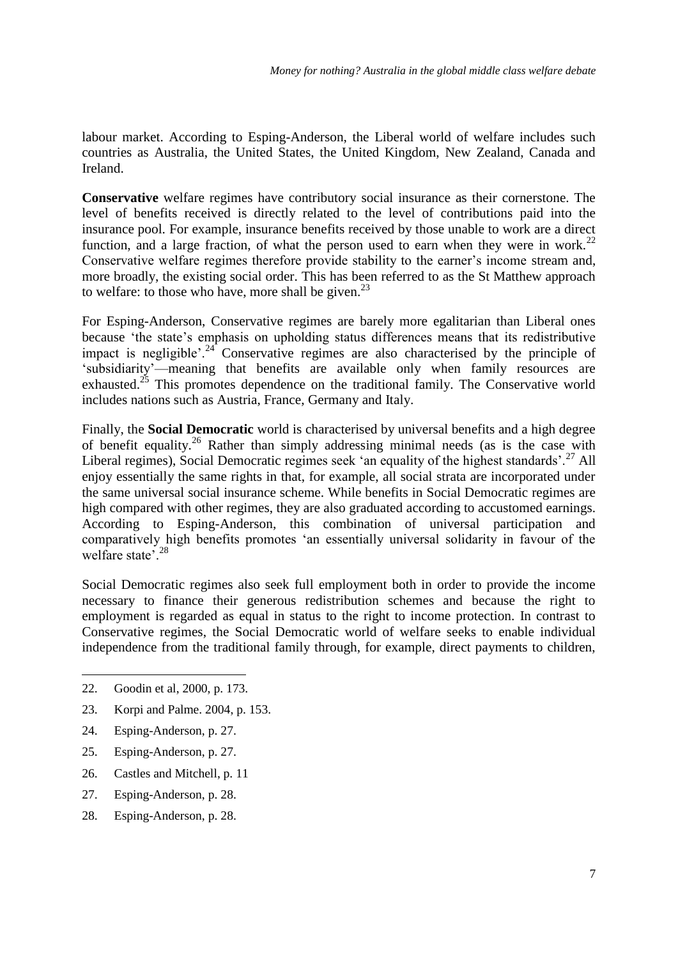labour market. According to Esping-Anderson, the Liberal world of welfare includes such countries as Australia, the United States, the United Kingdom, New Zealand, Canada and Ireland.

**Conservative** welfare regimes have contributory social insurance as their cornerstone. The level of benefits received is directly related to the level of contributions paid into the insurance pool. For example, insurance benefits received by those unable to work are a direct function, and a large fraction, of what the person used to earn when they were in work.<sup>22</sup> Conservative welfare regimes therefore provide stability to the earner's income stream and, more broadly, the existing social order. This has been referred to as the St Matthew approach to welfare: to those who have, more shall be given. $^{23}$ 

For Esping-Anderson, Conservative regimes are barely more egalitarian than Liberal ones because 'the state's emphasis on upholding status differences means that its redistributive impact is negligible'.<sup>24</sup> Conservative regimes are also characterised by the principle of ‗subsidiarity'—meaning that benefits are available only when family resources are exhausted.<sup>25</sup> This promotes dependence on the traditional family. The Conservative world includes nations such as Austria, France, Germany and Italy.

Finally, the **Social Democratic** world is characterised by universal benefits and a high degree of benefit equality.<sup>26</sup> Rather than simply addressing minimal needs (as is the case with Liberal regimes), Social Democratic regimes seek 'an equality of the highest standards'.<sup>27</sup> All enjoy essentially the same rights in that, for example, all social strata are incorporated under the same universal social insurance scheme. While benefits in Social Democratic regimes are high compared with other regimes, they are also graduated according to accustomed earnings. According to Esping-Anderson, this combination of universal participation and comparatively high benefits promotes 'an essentially universal solidarity in favour of the welfare state<sup>'.28</sup>

Social Democratic regimes also seek full employment both in order to provide the income necessary to finance their generous redistribution schemes and because the right to employment is regarded as equal in status to the right to income protection. In contrast to Conservative regimes, the Social Democratic world of welfare seeks to enable individual independence from the traditional family through, for example, direct payments to children,

- 23. Korpi and Palme. 2004, p. 153.
- 24. Esping-Anderson, p. 27.
- 25. Esping-Anderson, p. 27.
- 26. Castles and Mitchell, p. 11
- 27. Esping-Anderson, p. 28.
- 28. Esping-Anderson, p. 28.

<sup>22.</sup> Goodin et al, 2000, p. 173.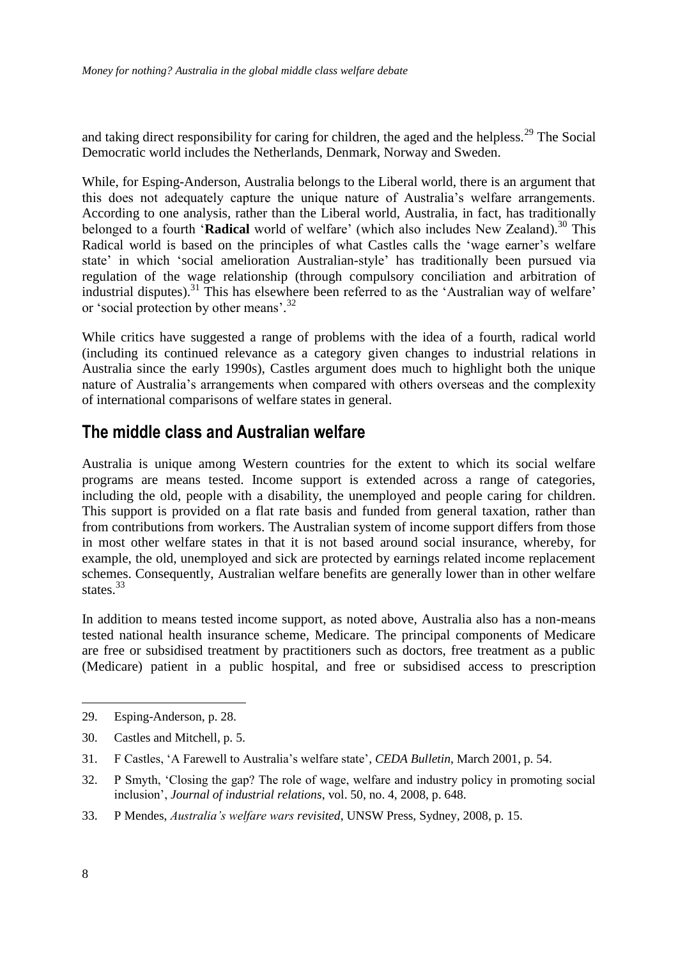and taking direct responsibility for caring for children, the aged and the helpless.<sup>29</sup> The Social Democratic world includes the Netherlands, Denmark, Norway and Sweden.

While, for Esping-Anderson, Australia belongs to the Liberal world, there is an argument that this does not adequately capture the unique nature of Australia's welfare arrangements. According to one analysis, rather than the Liberal world, Australia, in fact, has traditionally belonged to a fourth 'Radical world of welfare' (which also includes New Zealand).<sup>30</sup> This Radical world is based on the principles of what Castles calls the 'wage earner's welfare state' in which 'social amelioration Australian-style' has traditionally been pursued via regulation of the wage relationship (through compulsory conciliation and arbitration of industrial disputes).<sup>31</sup> This has elsewhere been referred to as the 'Australian way of welfare' or 'social protection by other means'.<sup>32</sup>

While critics have suggested a range of problems with the idea of a fourth, radical world (including its continued relevance as a category given changes to industrial relations in Australia since the early 1990s), Castles argument does much to highlight both the unique nature of Australia's arrangements when compared with others overseas and the complexity of international comparisons of welfare states in general.

### **The middle class and Australian welfare**

Australia is unique among Western countries for the extent to which its social welfare programs are means tested. Income support is extended across a range of categories, including the old, people with a disability, the unemployed and people caring for children. This support is provided on a flat rate basis and funded from general taxation, rather than from contributions from workers. The Australian system of income support differs from those in most other welfare states in that it is not based around social insurance, whereby, for example, the old, unemployed and sick are protected by earnings related income replacement schemes. Consequently, Australian welfare benefits are generally lower than in other welfare states.<sup>33</sup>

In addition to means tested income support, as noted above, Australia also has a non-means tested national health insurance scheme, Medicare. The principal components of Medicare are free or subsidised treatment by practitioners such as doctors, free treatment as a public (Medicare) patient in a public hospital, and free or subsidised access to prescription

33. P Mendes, *Australia's welfare wars revisited*, UNSW Press, Sydney, 2008, p. 15.

<sup>29.</sup> Esping-Anderson, p. 28.

<sup>30.</sup> Castles and Mitchell, p. 5.

<sup>31.</sup> F Castles, ‗A Farewell to Australia's welfare state', *CEDA Bulletin*, March 2001, p. 54.

<sup>32.</sup> P Smyth, ‗Closing the gap? The role of wage, welfare and industry policy in promoting social inclusion', *Journal of industrial relations*, vol. 50, no. 4, 2008, p. 648.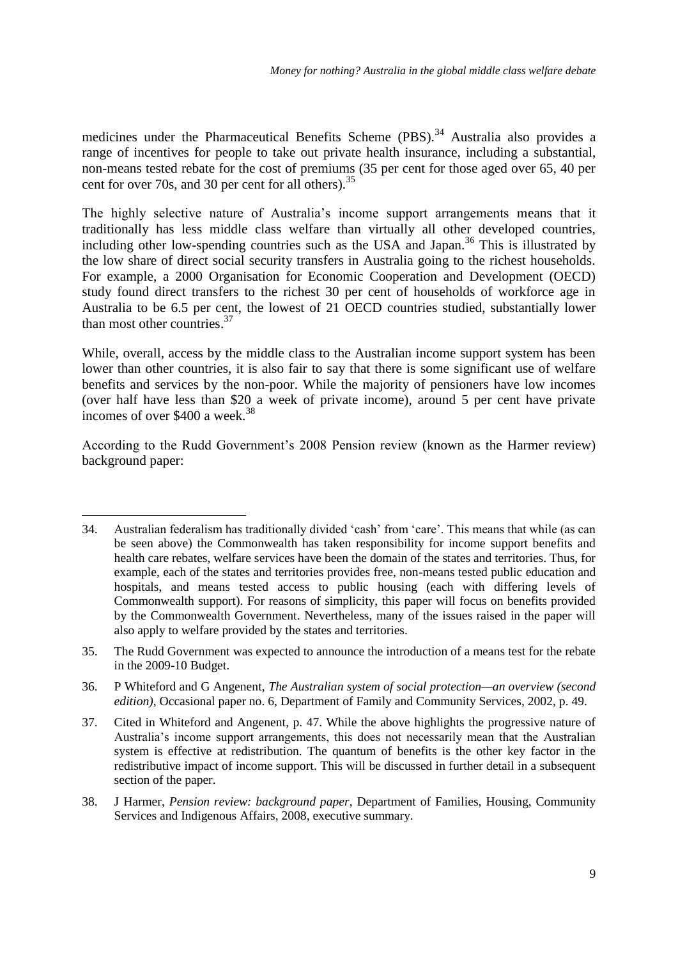medicines under the Pharmaceutical Benefits Scheme (PBS).<sup>34</sup> Australia also provides a range of incentives for people to take out private health insurance, including a substantial, non-means tested rebate for the cost of premiums (35 per cent for those aged over 65, 40 per cent for over 70s, and 30 per cent for all others).  $35$ 

The highly selective nature of Australia's income support arrangements means that it traditionally has less middle class welfare than virtually all other developed countries, including other low-spending countries such as the USA and Japan.<sup>36</sup> This is illustrated by the low share of direct social security transfers in Australia going to the richest households. For example, a 2000 Organisation for Economic Cooperation and Development (OECD) study found direct transfers to the richest 30 per cent of households of workforce age in Australia to be 6.5 per cent, the lowest of 21 OECD countries studied, substantially lower than most other countries.<sup>37</sup>

While, overall, access by the middle class to the Australian income support system has been lower than other countries, it is also fair to say that there is some significant use of welfare benefits and services by the non-poor. While the majority of pensioners have low incomes (over half have less than \$20 a week of private income), around 5 per cent have private incomes of over  $$400$  a week.<sup>38</sup>

According to the Rudd Government's 2008 Pension review (known as the Harmer review) background paper:

-

<sup>34.</sup> Australian federalism has traditionally divided 'cash' from 'care'. This means that while (as can be seen above) the Commonwealth has taken responsibility for income support benefits and health care rebates, welfare services have been the domain of the states and territories. Thus, for example, each of the states and territories provides free, non-means tested public education and hospitals, and means tested access to public housing (each with differing levels of Commonwealth support). For reasons of simplicity, this paper will focus on benefits provided by the Commonwealth Government. Nevertheless, many of the issues raised in the paper will also apply to welfare provided by the states and territories.

<sup>35.</sup> The Rudd Government was expected to announce the introduction of a means test for the rebate in the 2009-10 Budget.

<sup>36.</sup> P Whiteford and G Angenent, *The Australian system of social protection—an overview (second edition)*, Occasional paper no. 6, Department of Family and Community Services, 2002, p. 49.

<sup>37.</sup> Cited in Whiteford and Angenent, p. 47. While the above highlights the progressive nature of Australia's income support arrangements, this does not necessarily mean that the Australian system is effective at redistribution. The quantum of benefits is the other key factor in the redistributive impact of income support. This will be discussed in further detail in a subsequent section of the paper.

<sup>38.</sup> J Harmer, *Pension review: background paper*, Department of Families, Housing, Community Services and Indigenous Affairs, 2008, executive summary.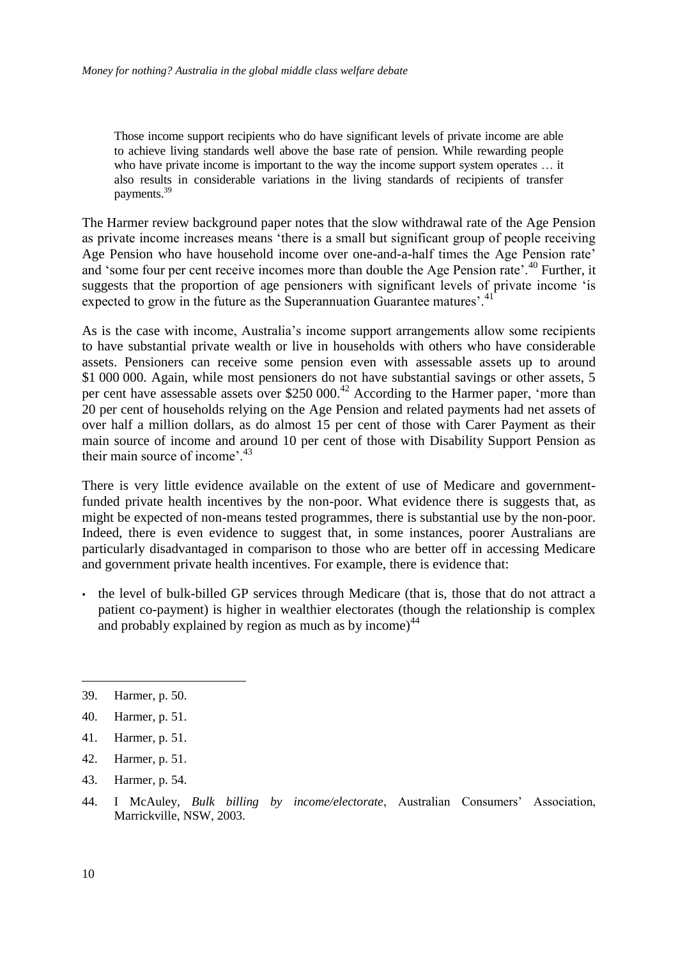Those income support recipients who do have significant levels of private income are able to achieve living standards well above the base rate of pension. While rewarding people who have private income is important to the way the income support system operates ... it also results in considerable variations in the living standards of recipients of transfer payments.<sup>39</sup>

The Harmer review background paper notes that the slow withdrawal rate of the Age Pension as private income increases means 'there is a small but significant group of people receiving Age Pension who have household income over one-and-a-half times the Age Pension rate' and 'some four per cent receive incomes more than double the Age Pension rate'.<sup>40</sup> Further, it suggests that the proportion of age pensioners with significant levels of private income 'is expected to grow in the future as the Superannuation Guarantee matures'.<sup>41</sup>

As is the case with income, Australia's income support arrangements allow some recipients to have substantial private wealth or live in households with others who have considerable assets. Pensioners can receive some pension even with assessable assets up to around \$1 000 000. Again, while most pensioners do not have substantial savings or other assets, 5 per cent have assessable assets over \$250 000.<sup>42</sup> According to the Harmer paper, *'more than* 20 per cent of households relying on the Age Pension and related payments had net assets of over half a million dollars, as do almost 15 per cent of those with Carer Payment as their main source of income and around 10 per cent of those with Disability Support Pension as their main source of income'.<sup>43</sup>

There is very little evidence available on the extent of use of Medicare and governmentfunded private health incentives by the non-poor. What evidence there is suggests that, as might be expected of non-means tested programmes, there is substantial use by the non-poor. Indeed, there is even evidence to suggest that, in some instances, poorer Australians are particularly disadvantaged in comparison to those who are better off in accessing Medicare and government private health incentives. For example, there is evidence that:

• the level of bulk-billed GP services through Medicare (that is, those that do not attract a patient co-payment) is higher in wealthier electorates (though the relationship is complex and probably explained by region as much as by income)<sup>44</sup>

- 41. Harmer, p. 51.
- 42. Harmer, p. 51.
- 43. Harmer, p. 54.
- 44. I McAuley, *Bulk billing by income/electorate*, Australian Consumers' Association, Marrickville, NSW, 2003.

<sup>39.</sup> Harmer, p. 50.

<sup>40.</sup> Harmer, p. 51.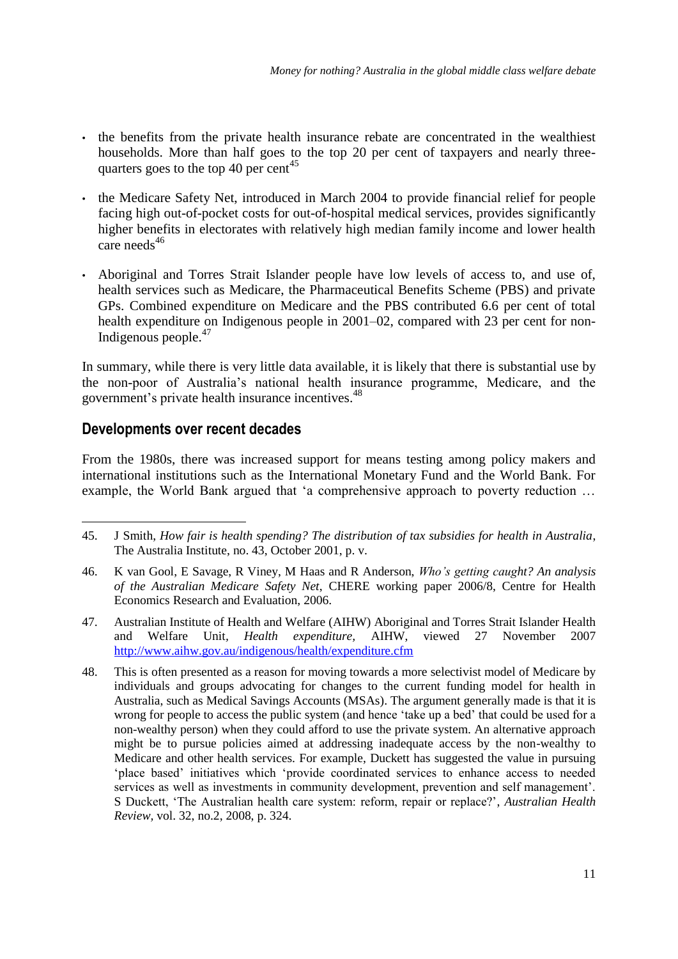- the benefits from the private health insurance rebate are concentrated in the wealthiest households. More than half goes to the top 20 per cent of taxpayers and nearly threequarters goes to the top 40 per cent<sup>45</sup>
- the Medicare Safety Net, introduced in March 2004 to provide financial relief for people facing high out-of-pocket costs for out-of-hospital medical services, provides significantly higher benefits in electorates with relatively high median family income and lower health care needs $46$
- Aboriginal and Torres Strait Islander people have low levels of access to, and use of, health services such as Medicare, the Pharmaceutical Benefits Scheme (PBS) and private GPs. Combined expenditure on Medicare and the PBS contributed 6.6 per cent of total health expenditure on Indigenous people in 2001–02, compared with 23 per cent for non-Indigenous people.<sup>47</sup>

In summary, while there is very little data available, it is likely that there is substantial use by the non-poor of Australia's national health insurance programme, Medicare, and the government's private health insurance incentives.<sup>48</sup>

#### **Developments over recent decades**

<u>.</u>

From the 1980s, there was increased support for means testing among policy makers and international institutions such as the International Monetary Fund and the World Bank. For example, the World Bank argued that 'a comprehensive approach to poverty reduction ...

- 47. Australian Institute of Health and Welfare (AIHW) Aboriginal and Torres Strait Islander Health and Welfare Unit*, Health expenditure,* AIHW, viewed 27 November 2007 <http://www.aihw.gov.au/indigenous/health/expenditure.cfm>
- 48. This is often presented as a reason for moving towards a more selectivist model of Medicare by individuals and groups advocating for changes to the current funding model for health in Australia, such as Medical Savings Accounts (MSAs). The argument generally made is that it is wrong for people to access the public system (and hence 'take up a bed' that could be used for a non-wealthy person) when they could afford to use the private system. An alternative approach might be to pursue policies aimed at addressing inadequate access by the non-wealthy to Medicare and other health services. For example, Duckett has suggested the value in pursuing 'place based' initiatives which 'provide coordinated services to enhance access to needed services as well as investments in community development, prevention and self management'. S Duckett, ‗The Australian health care system: reform, repair or replace?', *Australian Health Review,* vol. 32, no.2, 2008, p. 324.

<sup>45.</sup> J Smith, *How fair is health spending? The distribution of tax subsidies for health in Australia*, The Australia Institute, no. 43, October 2001, p. v.

<sup>46.</sup> K van Gool, E Savage, R Viney, M Haas and R Anderson, *Who's getting caught? An analysis of the Australian Medicare Safety Net*, CHERE working paper 2006/8, Centre for Health Economics Research and Evaluation, 2006.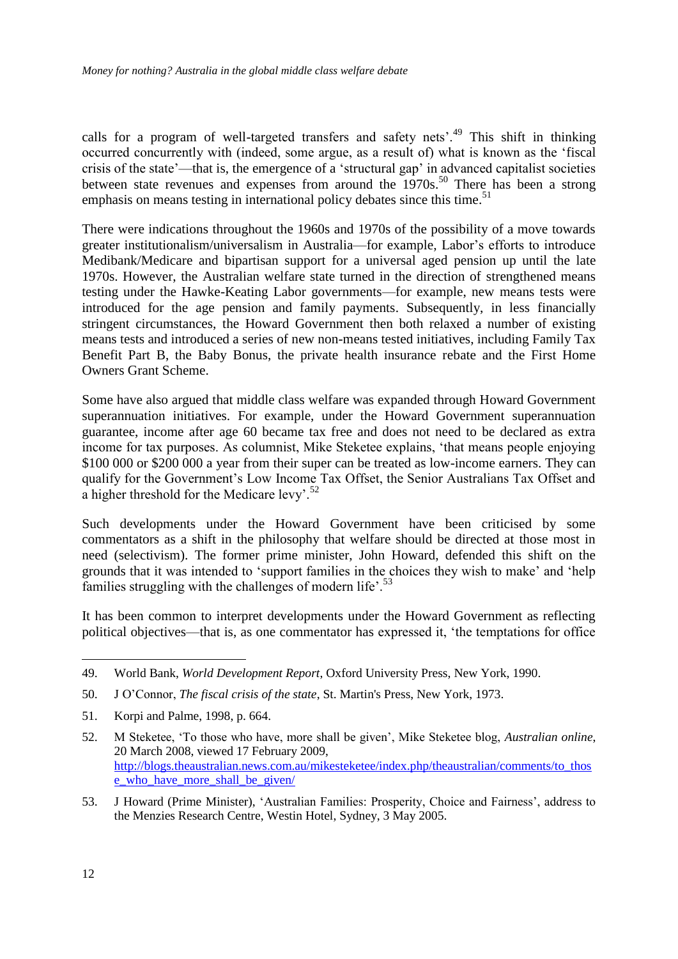calls for a program of well-targeted transfers and safety nets'.<sup>49</sup> This shift in thinking occurred concurrently with (indeed, some argue, as a result of) what is known as the 'fiscal crisis of the state'—that is, the emergence of a 'structural gap' in advanced capitalist societies between state revenues and expenses from around the 1970s.<sup>50</sup> There has been a strong emphasis on means testing in international policy debates since this time.<sup>51</sup>

There were indications throughout the 1960s and 1970s of the possibility of a move towards greater institutionalism/universalism in Australia—for example, Labor's efforts to introduce Medibank/Medicare and bipartisan support for a universal aged pension up until the late 1970s. However, the Australian welfare state turned in the direction of strengthened means testing under the Hawke-Keating Labor governments—for example, new means tests were introduced for the age pension and family payments. Subsequently, in less financially stringent circumstances, the Howard Government then both relaxed a number of existing means tests and introduced a series of new non-means tested initiatives, including Family Tax Benefit Part B, the Baby Bonus, the private health insurance rebate and the First Home Owners Grant Scheme.

Some have also argued that middle class welfare was expanded through Howard Government superannuation initiatives. For example, under the Howard Government superannuation guarantee, income after age 60 became tax free and does not need to be declared as extra income for tax purposes. As columnist, Mike Steketee explains, 'that means people enjoying \$100 000 or \$200 000 a year from their super can be treated as low-income earners. They can qualify for the Government's Low Income Tax Offset, the Senior Australians Tax Offset and a higher threshold for the Medicare levy'.<sup>52</sup>

Such developments under the Howard Government have been criticised by some commentators as a shift in the philosophy that welfare should be directed at those most in need (selectivism). The former prime minister, John Howard, defended this shift on the grounds that it was intended to 'support families in the choices they wish to make' and 'help families struggling with the challenges of modern life'. $^{53}$ 

It has been common to interpret developments under the Howard Government as reflecting political objectives—that is, as one commentator has expressed it, ‗the temptations for office

- 50. J O'Connor, *The fiscal crisis of the state*, St. Martin's Press, New York, 1973.
- 51. Korpi and Palme, 1998, p. 664.
- 52. M Steketee, ‗To those who have, more shall be given', Mike Steketee blog, *Australian online*, 20 March 2008, viewed 17 February 2009, [http://blogs.theaustralian.news.com.au/mikesteketee/index.php/theaustralian/comments/to\\_thos](http://blogs.theaustralian.news.com.au/mikesteketee/index.php/theaustralian/comments/to_those_who_have_more_shall_be_given/) [e\\_who\\_have\\_more\\_shall\\_be\\_given/](http://blogs.theaustralian.news.com.au/mikesteketee/index.php/theaustralian/comments/to_those_who_have_more_shall_be_given/)
- 53. J Howard (Prime Minister), ‗Australian Families: Prosperity, Choice and Fairness', address to the Menzies Research Centre, Westin Hotel, Sydney, 3 May 2005.

-

<sup>49.</sup> World Bank, *World Development Report*, Oxford University Press, New York, 1990.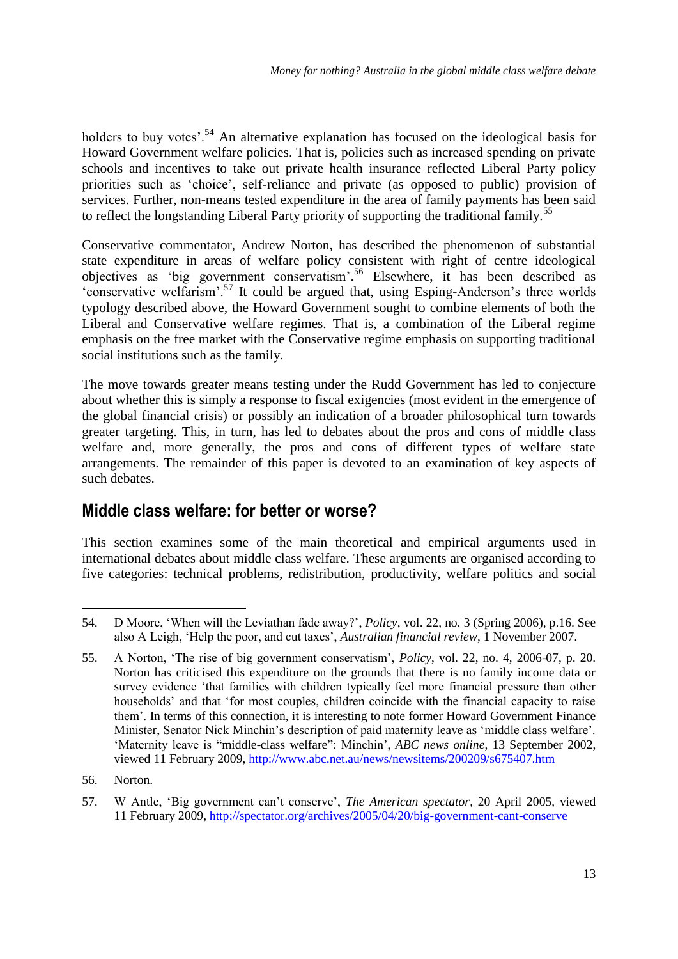holders to buy votes'.<sup>54</sup> An alternative explanation has focused on the ideological basis for Howard Government welfare policies. That is, policies such as increased spending on private schools and incentives to take out private health insurance reflected Liberal Party policy priorities such as ‗choice', self-reliance and private (as opposed to public) provision of services. Further, non-means tested expenditure in the area of family payments has been said to reflect the longstanding Liberal Party priority of supporting the traditional family.<sup>55</sup>

Conservative commentator, Andrew Norton, has described the phenomenon of substantial state expenditure in areas of welfare policy consistent with right of centre ideological objectives as ‗big government conservatism'.<sup>56</sup> Elsewhere, it has been described as ‗conservative welfarism'.<sup>57</sup> It could be argued that, using Esping-Anderson's three worlds typology described above, the Howard Government sought to combine elements of both the Liberal and Conservative welfare regimes. That is, a combination of the Liberal regime emphasis on the free market with the Conservative regime emphasis on supporting traditional social institutions such as the family.

The move towards greater means testing under the Rudd Government has led to conjecture about whether this is simply a response to fiscal exigencies (most evident in the emergence of the global financial crisis) or possibly an indication of a broader philosophical turn towards greater targeting. This, in turn, has led to debates about the pros and cons of middle class welfare and, more generally, the pros and cons of different types of welfare state arrangements. The remainder of this paper is devoted to an examination of key aspects of such debates.

### **Middle class welfare: for better or worse?**

This section examines some of the main theoretical and empirical arguments used in international debates about middle class welfare. These arguments are organised according to five categories: technical problems, redistribution, productivity, welfare politics and social

-

<sup>54.</sup> D Moore, ‗When will the Leviathan fade away?', *Policy*, vol. 22, no. 3 (Spring 2006), p.16. See also A Leigh, 'Help the poor, and cut taxes', *Australian financial review*, 1 November 2007.

<sup>55.</sup> A Norton, ‗The rise of big government conservatism', *Policy*, vol. 22, no. 4, 2006-07, p. 20. Norton has criticised this expenditure on the grounds that there is no family income data or survey evidence 'that families with children typically feel more financial pressure than other households' and that 'for most couples, children coincide with the financial capacity to raise them'. In terms of this connection, it is interesting to note former Howard Government Finance Minister, Senator Nick Minchin's description of paid maternity leave as 'middle class welfare'. ‗Maternity leave is ―middle-class welfare‖: Minchin', *ABC news online*, 13 September 2002, viewed 11 February 2009, <http://www.abc.net.au/news/newsitems/200209/s675407.htm>

<sup>56.</sup> Norton.

<sup>57.</sup> W Antle, ‗Big government can't conserve', *The American spectator*, 20 April 2005, viewed 11 February 2009,<http://spectator.org/archives/2005/04/20/big-government-cant-conserve>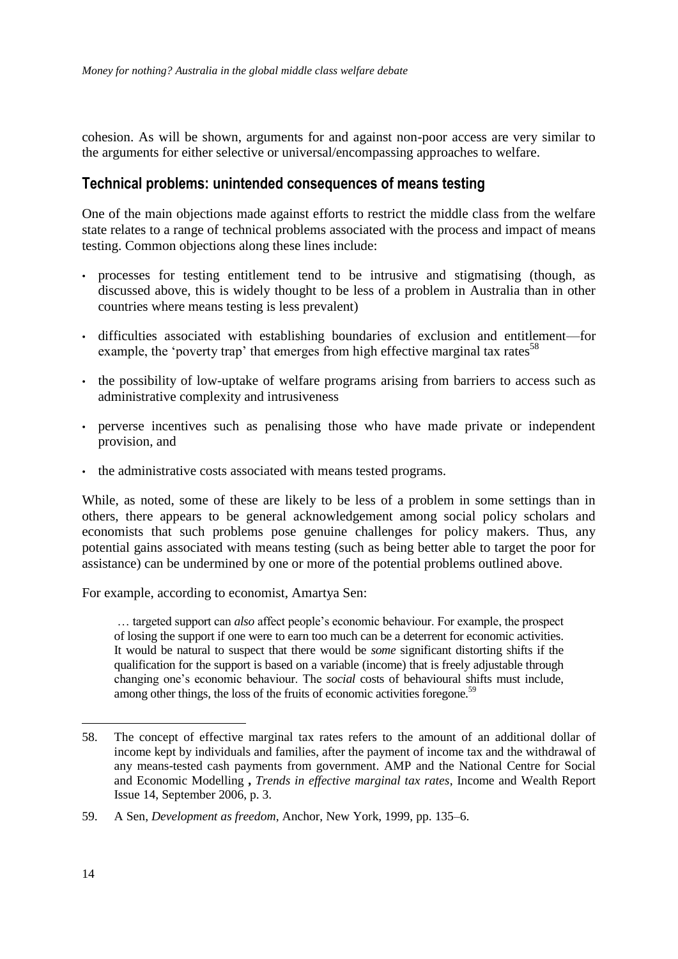cohesion. As will be shown, arguments for and against non-poor access are very similar to the arguments for either selective or universal/encompassing approaches to welfare.

#### **Technical problems: unintended consequences of means testing**

One of the main objections made against efforts to restrict the middle class from the welfare state relates to a range of technical problems associated with the process and impact of means testing. Common objections along these lines include:

- processes for testing entitlement tend to be intrusive and stigmatising (though, as discussed above, this is widely thought to be less of a problem in Australia than in other countries where means testing is less prevalent)
- difficulties associated with establishing boundaries of exclusion and entitlement—for example, the 'poverty trap' that emerges from high effective marginal tax rates<sup>58</sup>
- the possibility of low-uptake of welfare programs arising from barriers to access such as administrative complexity and intrusiveness
- perverse incentives such as penalising those who have made private or independent provision, and
- the administrative costs associated with means tested programs.

While, as noted, some of these are likely to be less of a problem in some settings than in others, there appears to be general acknowledgement among social policy scholars and economists that such problems pose genuine challenges for policy makers. Thus, any potential gains associated with means testing (such as being better able to target the poor for assistance) can be undermined by one or more of the potential problems outlined above.

For example, according to economist, Amartya Sen:

… targeted support can *also* affect people's economic behaviour. For example, the prospect of losing the support if one were to earn too much can be a deterrent for economic activities. It would be natural to suspect that there would be *some* significant distorting shifts if the qualification for the support is based on a variable (income) that is freely adjustable through changing one's economic behaviour. The *social* costs of behavioural shifts must include, among other things, the loss of the fruits of economic activities foregone.<sup>59</sup>

<sup>58.</sup> The concept of effective marginal tax rates refers to the amount of an additional dollar of income kept by individuals and families, after the payment of income tax and the withdrawal of any means-tested cash payments from government. AMP and the National Centre for Social and Economic Modelling **,** *Trends in effective marginal tax rates*, Income and Wealth Report Issue 14, September 2006, p. 3.

<sup>59.</sup> A Sen, *Development as freedom*, Anchor, New York, 1999, pp. 135–6.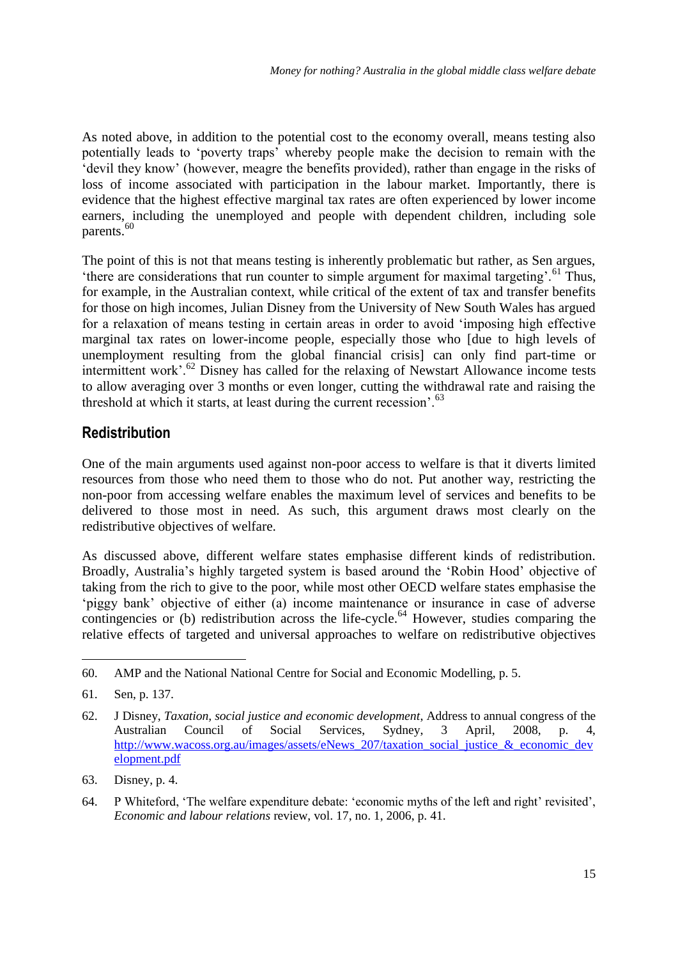As noted above, in addition to the potential cost to the economy overall, means testing also potentially leads to 'poverty traps' whereby people make the decision to remain with the ‗devil they know' (however, meagre the benefits provided), rather than engage in the risks of loss of income associated with participation in the labour market. Importantly, there is evidence that the highest effective marginal tax rates are often experienced by lower income earners, including the unemployed and people with dependent children, including sole parents.<sup>60</sup>

The point of this is not that means testing is inherently problematic but rather, as Sen argues, 'there are considerations that run counter to simple argument for maximal targeting'.<sup>61</sup> Thus, for example, in the Australian context, while critical of the extent of tax and transfer benefits for those on high incomes, Julian Disney from the University of New South Wales has argued for a relaxation of means testing in certain areas in order to avoid 'imposing high effective marginal tax rates on lower-income people, especially those who [due to high levels of unemployment resulting from the global financial crisis] can only find part-time or intermittent work'.<sup>62</sup> Disney has called for the relaxing of Newstart Allowance income tests to allow averaging over 3 months or even longer, cutting the withdrawal rate and raising the threshold at which it starts, at least during the current recession'. $63$ 

### **Redistribution**

One of the main arguments used against non-poor access to welfare is that it diverts limited resources from those who need them to those who do not. Put another way, restricting the non-poor from accessing welfare enables the maximum level of services and benefits to be delivered to those most in need. As such, this argument draws most clearly on the redistributive objectives of welfare.

As discussed above, different welfare states emphasise different kinds of redistribution. Broadly, Australia's highly targeted system is based around the 'Robin Hood' objective of taking from the rich to give to the poor, while most other OECD welfare states emphasise the 'piggy bank' objective of either (a) income maintenance or insurance in case of adverse contingencies or (b) redistribution across the life-cycle.<sup>64</sup> However, studies comparing the relative effects of targeted and universal approaches to welfare on redistributive objectives

-

<sup>60.</sup> AMP and the National National Centre for Social and Economic Modelling, p. 5.

<sup>61.</sup> Sen, p. 137.

<sup>62.</sup> J Disney, *Taxation, social justice and economic development*, Address to annual congress of the Australian Council of Social Services, Sydney, 3 April, 2008, p. 4, [http://www.wacoss.org.au/images/assets/eNews\\_207/taxation\\_social\\_justice\\_&\\_economic\\_dev](http://www.wacoss.org.au/images/assets/eNews_207/taxation_social_justice_&_economic_development.pdf) [elopment.pdf](http://www.wacoss.org.au/images/assets/eNews_207/taxation_social_justice_&_economic_development.pdf)

<sup>63.</sup> Disney, p. 4.

<sup>64.</sup> P Whiteford, ‗The welfare expenditure debate: ‗economic myths of the left and right' revisited', *Economic and labour relations* review, vol. 17, no. 1, 2006, p. 41.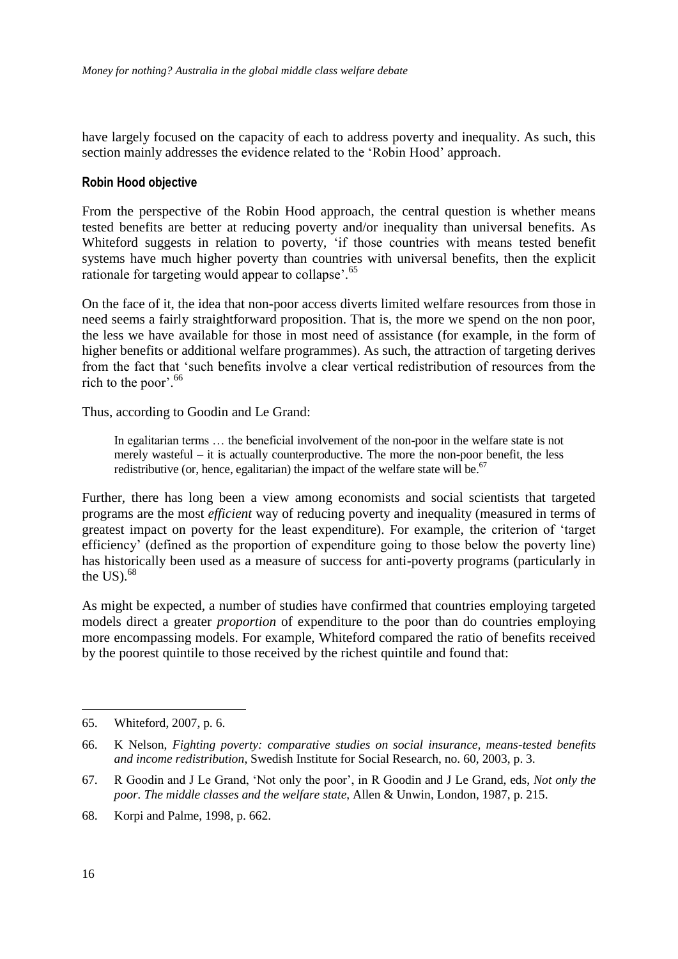have largely focused on the capacity of each to address poverty and inequality. As such, this section mainly addresses the evidence related to the 'Robin Hood' approach.

#### **Robin Hood objective**

From the perspective of the Robin Hood approach, the central question is whether means tested benefits are better at reducing poverty and/or inequality than universal benefits. As Whiteford suggests in relation to poverty, 'if those countries with means tested benefit systems have much higher poverty than countries with universal benefits, then the explicit rationale for targeting would appear to collapse<sup>'.65</sup>

On the face of it, the idea that non-poor access diverts limited welfare resources from those in need seems a fairly straightforward proposition. That is, the more we spend on the non poor, the less we have available for those in most need of assistance (for example, in the form of higher benefits or additional welfare programmes). As such, the attraction of targeting derives from the fact that ‗such benefits involve a clear vertical redistribution of resources from the rich to the poor'.<sup>66</sup>

Thus, according to Goodin and Le Grand:

In egalitarian terms … the beneficial involvement of the non-poor in the welfare state is not merely wasteful – it is actually counterproductive. The more the non-poor benefit, the less redistributive (or, hence, egalitarian) the impact of the welfare state will be.<sup>67</sup>

Further, there has long been a view among economists and social scientists that targeted programs are the most *efficient* way of reducing poverty and inequality (measured in terms of greatest impact on poverty for the least expenditure). For example, the criterion of 'target efficiency' (defined as the proportion of expenditure going to those below the poverty line) has historically been used as a measure of success for anti-poverty programs (particularly in the US $.68$ 

As might be expected, a number of studies have confirmed that countries employing targeted models direct a greater *proportion* of expenditure to the poor than do countries employing more encompassing models. For example, Whiteford compared the ratio of benefits received by the poorest quintile to those received by the richest quintile and found that:

<sup>65.</sup> Whiteford, 2007, p. 6.

<sup>66.</sup> K Nelson, *Fighting poverty: comparative studies on social insurance, means-tested benefits and income redistribution*, Swedish Institute for Social Research, no. 60, 2003, p. 3.

<sup>67.</sup> R Goodin and J Le Grand, ‗Not only the poor', in R Goodin and J Le Grand, eds, *Not only the poor. The middle classes and the welfare state*, Allen & Unwin, London, 1987, p. 215.

<sup>68.</sup> Korpi and Palme, 1998, p. 662.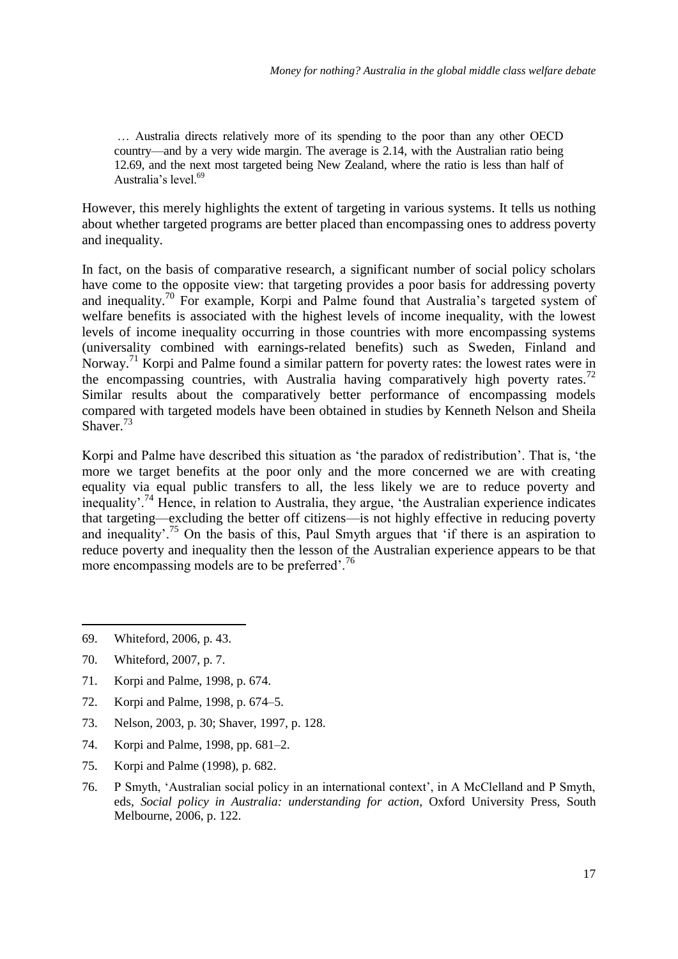… Australia directs relatively more of its spending to the poor than any other OECD country—and by a very wide margin. The average is 2.14, with the Australian ratio being 12.69, and the next most targeted being New Zealand, where the ratio is less than half of Australia's level.<sup>69</sup>

However, this merely highlights the extent of targeting in various systems. It tells us nothing about whether targeted programs are better placed than encompassing ones to address poverty and inequality.

In fact, on the basis of comparative research, a significant number of social policy scholars have come to the opposite view: that targeting provides a poor basis for addressing poverty and inequality.<sup>70</sup> For example, Korpi and Palme found that Australia's targeted system of welfare benefits is associated with the highest levels of income inequality, with the lowest levels of income inequality occurring in those countries with more encompassing systems (universality combined with earnings-related benefits) such as Sweden, Finland and Norway.<sup>71</sup> Korpi and Palme found a similar pattern for poverty rates: the lowest rates were in the encompassing countries, with Australia having comparatively high poverty rates.<sup>72</sup> Similar results about the comparatively better performance of encompassing models compared with targeted models have been obtained in studies by Kenneth Nelson and Sheila Shaver.<sup>73</sup>

Korpi and Palme have described this situation as 'the paradox of redistribution'. That is, 'the more we target benefits at the poor only and the more concerned we are with creating equality via equal public transfers to all, the less likely we are to reduce poverty and inequality'.<sup>74</sup> Hence, in relation to Australia, they argue, 'the Australian experience indicates that targeting—excluding the better off citizens—is not highly effective in reducing poverty and inequality'.<sup>75</sup> On the basis of this, Paul Smyth argues that 'if there is an aspiration to reduce poverty and inequality then the lesson of the Australian experience appears to be that more encompassing models are to be preferred'.<sup>76</sup>

- 71. Korpi and Palme, 1998, p. 674.
- 72. Korpi and Palme, 1998, p. 674–5.
- 73. Nelson, 2003, p. 30; Shaver, 1997, p. 128.
- 74. Korpi and Palme, 1998, pp. 681–2.
- 75. Korpi and Palme (1998), p. 682.
- 76. P Smyth, ‗Australian social policy in an international context', in A McClelland and P Smyth, eds, *Social policy in Australia: understanding for action*, Oxford University Press, South Melbourne, 2006, p. 122.

<sup>69.</sup> Whiteford, 2006, p. 43.

<sup>70.</sup> Whiteford, 2007, p. 7.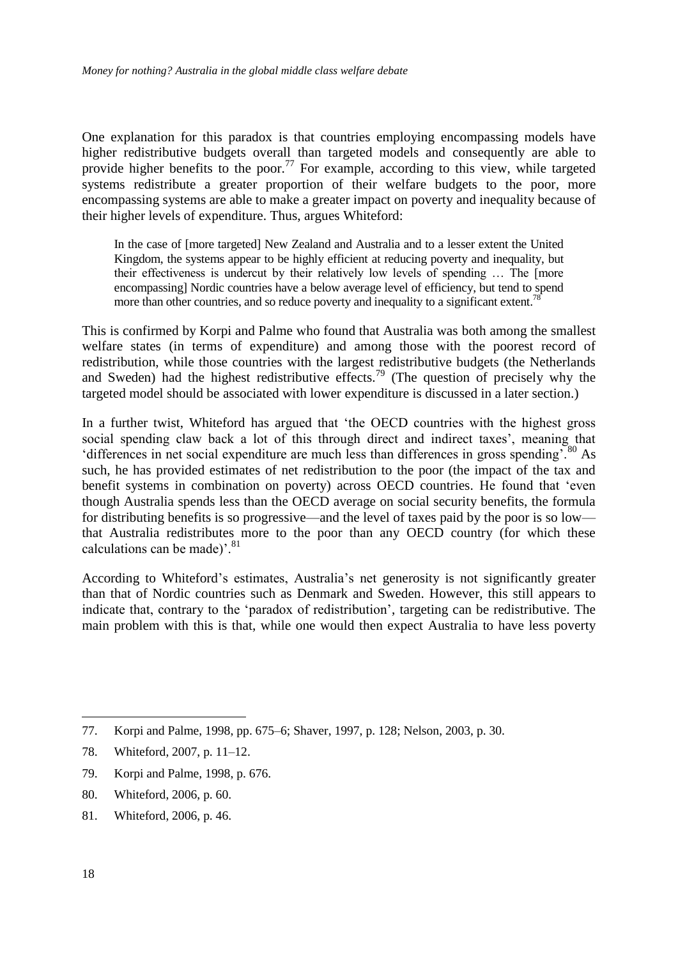One explanation for this paradox is that countries employing encompassing models have higher redistributive budgets overall than targeted models and consequently are able to provide higher benefits to the poor.<sup>77</sup> For example, according to this view, while targeted systems redistribute a greater proportion of their welfare budgets to the poor, more encompassing systems are able to make a greater impact on poverty and inequality because of their higher levels of expenditure. Thus, argues Whiteford:

In the case of [more targeted] New Zealand and Australia and to a lesser extent the United Kingdom, the systems appear to be highly efficient at reducing poverty and inequality, but their effectiveness is undercut by their relatively low levels of spending … The [more encompassing] Nordic countries have a below average level of efficiency, but tend to spend more than other countries, and so reduce poverty and inequality to a significant extent.<sup>7</sup>

This is confirmed by Korpi and Palme who found that Australia was both among the smallest welfare states (in terms of expenditure) and among those with the poorest record of redistribution, while those countries with the largest redistributive budgets (the Netherlands and Sweden) had the highest redistributive effects.<sup>79</sup> (The question of precisely why the targeted model should be associated with lower expenditure is discussed in a later section.)

In a further twist, Whiteford has argued that 'the OECD countries with the highest gross social spending claw back a lot of this through direct and indirect taxes', meaning that  $\theta$  differences in net social expenditure are much less than differences in gross spending'.<sup>80</sup> As such, he has provided estimates of net redistribution to the poor (the impact of the tax and benefit systems in combination on poverty) across OECD countries. He found that 'even though Australia spends less than the OECD average on social security benefits, the formula for distributing benefits is so progressive—and the level of taxes paid by the poor is so low that Australia redistributes more to the poor than any OECD country (for which these calculations can be made)'. $81$ 

According to Whiteford's estimates, Australia's net generosity is not significantly greater than that of Nordic countries such as Denmark and Sweden. However, this still appears to indicate that, contrary to the 'paradox of redistribution', targeting can be redistributive. The main problem with this is that, while one would then expect Australia to have less poverty

- 79. Korpi and Palme, 1998, p. 676.
- 80. Whiteford, 2006, p. 60.
- 81. Whiteford, 2006, p. 46.

1

<sup>77.</sup> Korpi and Palme, 1998, pp. 675–6; Shaver, 1997, p. 128; Nelson, 2003, p. 30.

<sup>78.</sup> Whiteford, 2007, p. 11–12.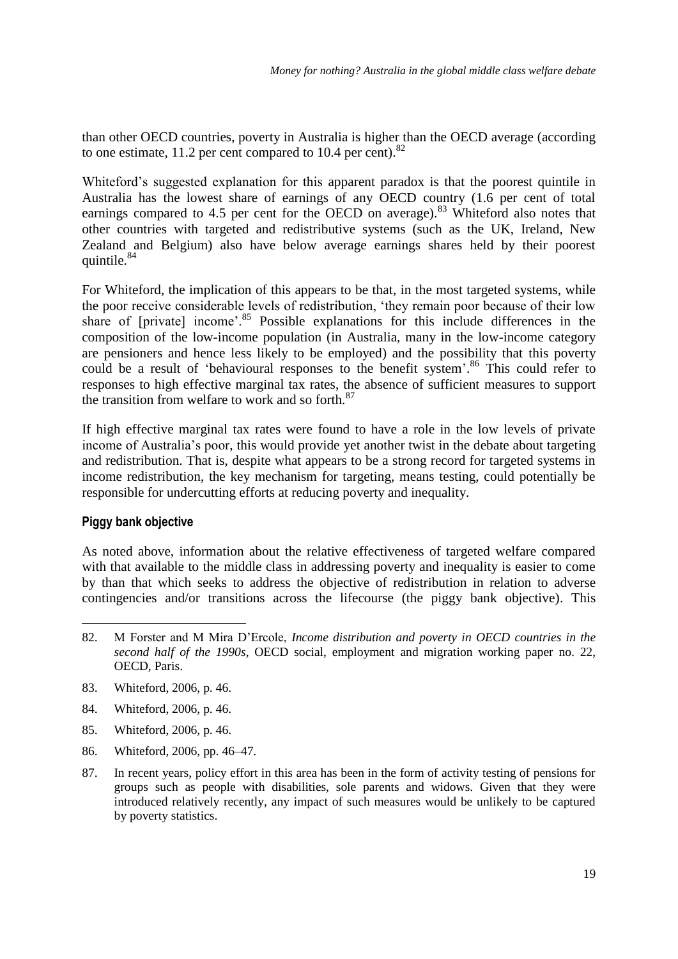than other OECD countries, poverty in Australia is higher than the OECD average (according to one estimate,  $11.2$  per cent compared to  $10.4$  per cent).<sup>82</sup>

Whiteford's suggested explanation for this apparent paradox is that the poorest quintile in Australia has the lowest share of earnings of any OECD country (1.6 per cent of total earnings compared to 4.5 per cent for the OECD on average).<sup>83</sup> Whiteford also notes that other countries with targeted and redistributive systems (such as the UK, Ireland, New Zealand and Belgium) also have below average earnings shares held by their poorest quintile.<sup>84</sup>

For Whiteford, the implication of this appears to be that, in the most targeted systems, while the poor receive considerable levels of redistribution, 'they remain poor because of their low share of [private] income<sup>5</sup>.<sup>85</sup> Possible explanations for this include differences in the composition of the low-income population (in Australia, many in the low-income category are pensioners and hence less likely to be employed) and the possibility that this poverty could be a result of 'behavioural responses to the benefit system'.<sup>86</sup> This could refer to responses to high effective marginal tax rates, the absence of sufficient measures to support the transition from welfare to work and so forth.<sup>87</sup>

If high effective marginal tax rates were found to have a role in the low levels of private income of Australia's poor, this would provide yet another twist in the debate about targeting and redistribution. That is, despite what appears to be a strong record for targeted systems in income redistribution, the key mechanism for targeting, means testing, could potentially be responsible for undercutting efforts at reducing poverty and inequality.

#### **Piggy bank objective**

<u>.</u>

As noted above, information about the relative effectiveness of targeted welfare compared with that available to the middle class in addressing poverty and inequality is easier to come by than that which seeks to address the objective of redistribution in relation to adverse contingencies and/or transitions across the lifecourse (the piggy bank objective). This

- 83. Whiteford, 2006, p. 46.
- 84. Whiteford, 2006, p. 46.
- 85. Whiteford, 2006, p. 46.
- 86. Whiteford, 2006, pp. 46–47.
- 87. In recent years, policy effort in this area has been in the form of activity testing of pensions for groups such as people with disabilities, sole parents and widows. Given that they were introduced relatively recently, any impact of such measures would be unlikely to be captured by poverty statistics.

<sup>82.</sup> M Forster and M Mira D'Ercole, *Income distribution and poverty in OECD countries in the second half of the 1990s*, OECD social, employment and migration working paper no. 22, OECD, Paris.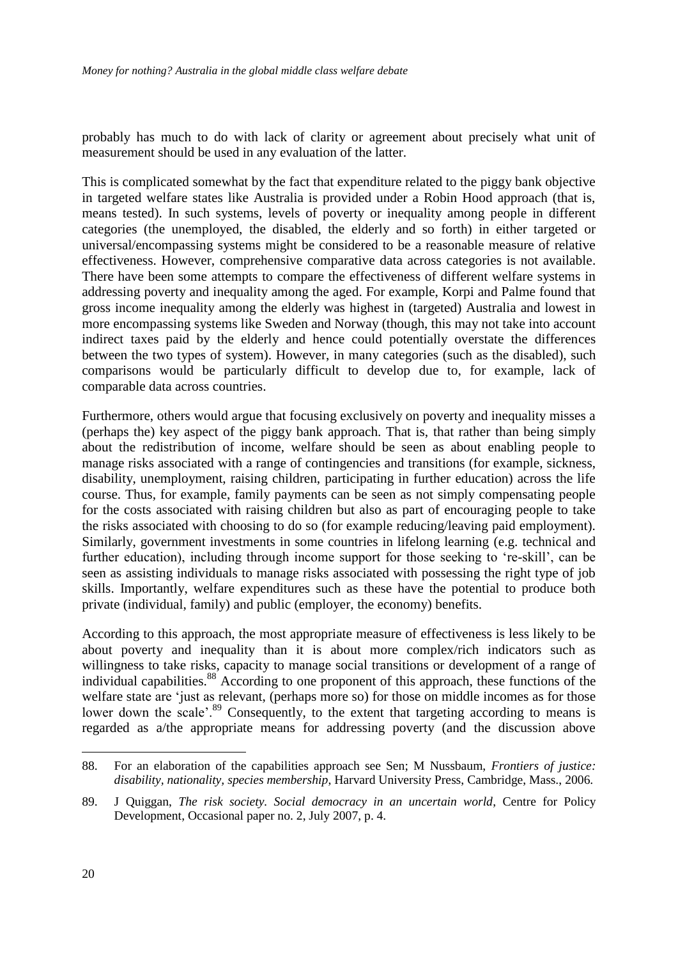probably has much to do with lack of clarity or agreement about precisely what unit of measurement should be used in any evaluation of the latter.

This is complicated somewhat by the fact that expenditure related to the piggy bank objective in targeted welfare states like Australia is provided under a Robin Hood approach (that is, means tested). In such systems, levels of poverty or inequality among people in different categories (the unemployed, the disabled, the elderly and so forth) in either targeted or universal/encompassing systems might be considered to be a reasonable measure of relative effectiveness. However, comprehensive comparative data across categories is not available. There have been some attempts to compare the effectiveness of different welfare systems in addressing poverty and inequality among the aged. For example, Korpi and Palme found that gross income inequality among the elderly was highest in (targeted) Australia and lowest in more encompassing systems like Sweden and Norway (though, this may not take into account indirect taxes paid by the elderly and hence could potentially overstate the differences between the two types of system). However, in many categories (such as the disabled), such comparisons would be particularly difficult to develop due to, for example, lack of comparable data across countries.

Furthermore, others would argue that focusing exclusively on poverty and inequality misses a (perhaps the) key aspect of the piggy bank approach. That is, that rather than being simply about the redistribution of income, welfare should be seen as about enabling people to manage risks associated with a range of contingencies and transitions (for example, sickness, disability, unemployment, raising children, participating in further education) across the life course. Thus, for example, family payments can be seen as not simply compensating people for the costs associated with raising children but also as part of encouraging people to take the risks associated with choosing to do so (for example reducing/leaving paid employment). Similarly, government investments in some countries in lifelong learning (e.g. technical and further education), including through income support for those seeking to 're-skill', can be seen as assisting individuals to manage risks associated with possessing the right type of job skills. Importantly, welfare expenditures such as these have the potential to produce both private (individual, family) and public (employer, the economy) benefits.

According to this approach, the most appropriate measure of effectiveness is less likely to be about poverty and inequality than it is about more complex/rich indicators such as willingness to take risks, capacity to manage social transitions or development of a range of individual capabilities.<sup>88</sup> According to one proponent of this approach, these functions of the welfare state are 'just as relevant, (perhaps more so) for those on middle incomes as for those lower down the scale'.<sup>89</sup> Consequently, to the extent that targeting according to means is regarded as a/the appropriate means for addressing poverty (and the discussion above

<sup>88.</sup> For an elaboration of the capabilities approach see Sen; M Nussbaum, *Frontiers of justice: disability, nationality, species membership*, Harvard University Press, Cambridge, Mass., 2006.

<sup>89.</sup> J Quiggan, *The risk society. Social democracy in an uncertain world*, Centre for Policy Development, Occasional paper no. 2, July 2007, p. 4.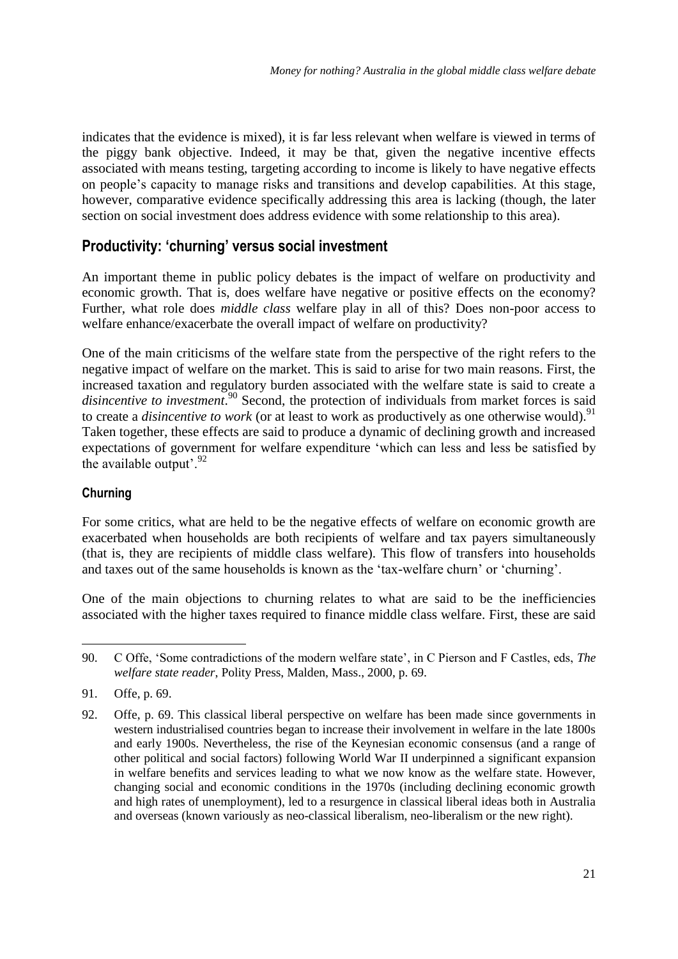indicates that the evidence is mixed), it is far less relevant when welfare is viewed in terms of the piggy bank objective. Indeed, it may be that, given the negative incentive effects associated with means testing, targeting according to income is likely to have negative effects on people's capacity to manage risks and transitions and develop capabilities. At this stage, however, comparative evidence specifically addressing this area is lacking (though, the later section on social investment does address evidence with some relationship to this area).

### **Productivity: 'churning' versus social investment**

An important theme in public policy debates is the impact of welfare on productivity and economic growth. That is, does welfare have negative or positive effects on the economy? Further, what role does *middle class* welfare play in all of this? Does non-poor access to welfare enhance/exacerbate the overall impact of welfare on productivity?

One of the main criticisms of the welfare state from the perspective of the right refers to the negative impact of welfare on the market. This is said to arise for two main reasons. First, the increased taxation and regulatory burden associated with the welfare state is said to create a disincentive to investment.<sup>90</sup> Second, the protection of individuals from market forces is said to create a *disincentive to work* (or at least to work as productively as one otherwise would).<sup>91</sup> Taken together, these effects are said to produce a dynamic of declining growth and increased expectations of government for welfare expenditure 'which can less and less be satisfied by the available output'. $92$ 

#### **Churning**

For some critics, what are held to be the negative effects of welfare on economic growth are exacerbated when households are both recipients of welfare and tax payers simultaneously (that is, they are recipients of middle class welfare). This flow of transfers into households and taxes out of the same households is known as the 'tax-welfare churn' or 'churning'.

One of the main objections to churning relates to what are said to be the inefficiencies associated with the higher taxes required to finance middle class welfare. First, these are said

<sup>90.</sup> C Offe, ‗Some contradictions of the modern welfare state', in C Pierson and F Castles, eds, *The welfare state reader*, Polity Press, Malden, Mass., 2000, p. 69.

<sup>91.</sup> Offe, p. 69.

<sup>92.</sup> Offe, p. 69. This classical liberal perspective on welfare has been made since governments in western industrialised countries began to increase their involvement in welfare in the late 1800s and early 1900s. Nevertheless, the rise of the Keynesian economic consensus (and a range of other political and social factors) following World War II underpinned a significant expansion in welfare benefits and services leading to what we now know as the welfare state. However, changing social and economic conditions in the 1970s (including declining economic growth and high rates of unemployment), led to a resurgence in classical liberal ideas both in Australia and overseas (known variously as neo-classical liberalism, neo-liberalism or the new right).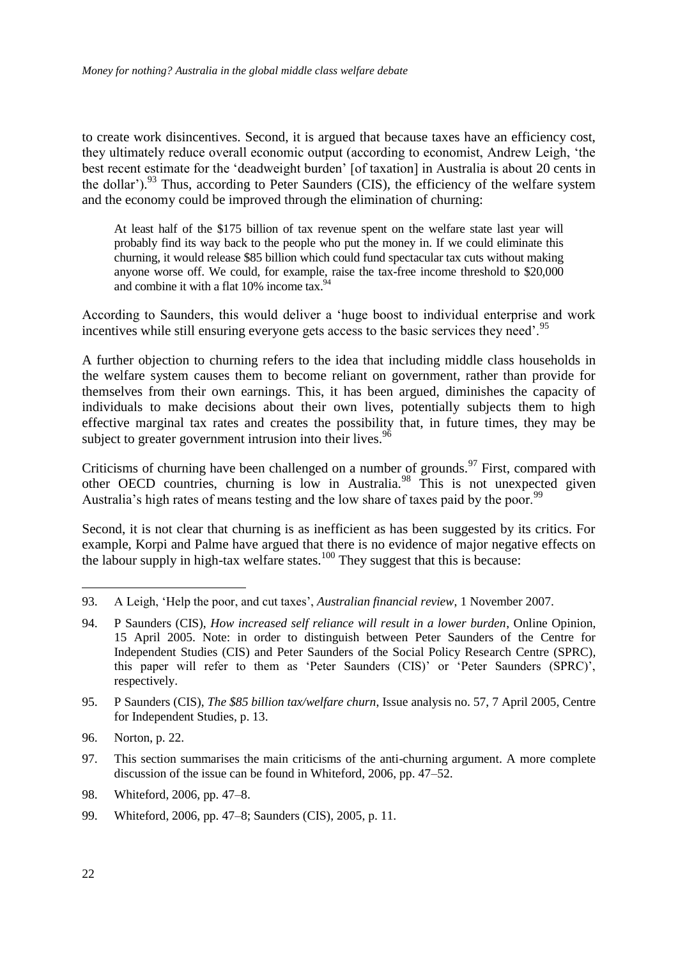to create work disincentives. Second, it is argued that because taxes have an efficiency cost, they ultimately reduce overall economic output (according to economist, Andrew Leigh, ‗the best recent estimate for the 'deadweight burden' [of taxation] in Australia is about 20 cents in the dollar').<sup>93</sup> Thus, according to Peter Saunders (CIS), the efficiency of the welfare system and the economy could be improved through the elimination of churning:

At least half of the \$175 billion of tax revenue spent on the welfare state last year will probably find its way back to the people who put the money in. If we could eliminate this churning, it would release \$85 billion which could fund spectacular tax cuts without making anyone worse off. We could, for example, raise the tax-free income threshold to \$20,000 and combine it with a flat 10% income tax.<sup>94</sup>

According to Saunders, this would deliver a ‗huge boost to individual enterprise and work incentives while still ensuring everyone gets access to the basic services they need'.<sup>95</sup>

A further objection to churning refers to the idea that including middle class households in the welfare system causes them to become reliant on government, rather than provide for themselves from their own earnings. This, it has been argued, diminishes the capacity of individuals to make decisions about their own lives, potentially subjects them to high effective marginal tax rates and creates the possibility that, in future times, they may be subject to greater government intrusion into their lives.<sup>96</sup>

Criticisms of churning have been challenged on a number of grounds.<sup>97</sup> First, compared with other OECD countries, churning is low in Australia.<sup>98</sup> This is not unexpected given Australia's high rates of means testing and the low share of taxes paid by the poor.<sup>99</sup>

Second, it is not clear that churning is as inefficient as has been suggested by its critics. For example, Korpi and Palme have argued that there is no evidence of major negative effects on the labour supply in high-tax welfare states.<sup>100</sup> They suggest that this is because:

98. Whiteford, 2006, pp. 47–8.

-

<sup>93.</sup> A Leigh, ‗Help the poor, and cut taxes', *Australian financial review*, 1 November 2007.

<sup>94.</sup> P Saunders (CIS), *How increased self reliance will result in a lower burden*, Online Opinion, 15 April 2005. Note: in order to distinguish between Peter Saunders of the Centre for Independent Studies (CIS) and Peter Saunders of the Social Policy Research Centre (SPRC), this paper will refer to them as 'Peter Saunders (CIS)' or 'Peter Saunders (SPRC)', respectively.

<sup>95.</sup> P Saunders (CIS), *The \$85 billion tax/welfare churn*, Issue analysis no. 57, 7 April 2005, Centre for Independent Studies, p. 13.

<sup>96.</sup> Norton, p. 22.

<sup>97.</sup> This section summarises the main criticisms of the anti-churning argument. A more complete discussion of the issue can be found in Whiteford, 2006, pp. 47–52.

<sup>99.</sup> Whiteford, 2006, pp. 47–8; Saunders (CIS), 2005, p. 11.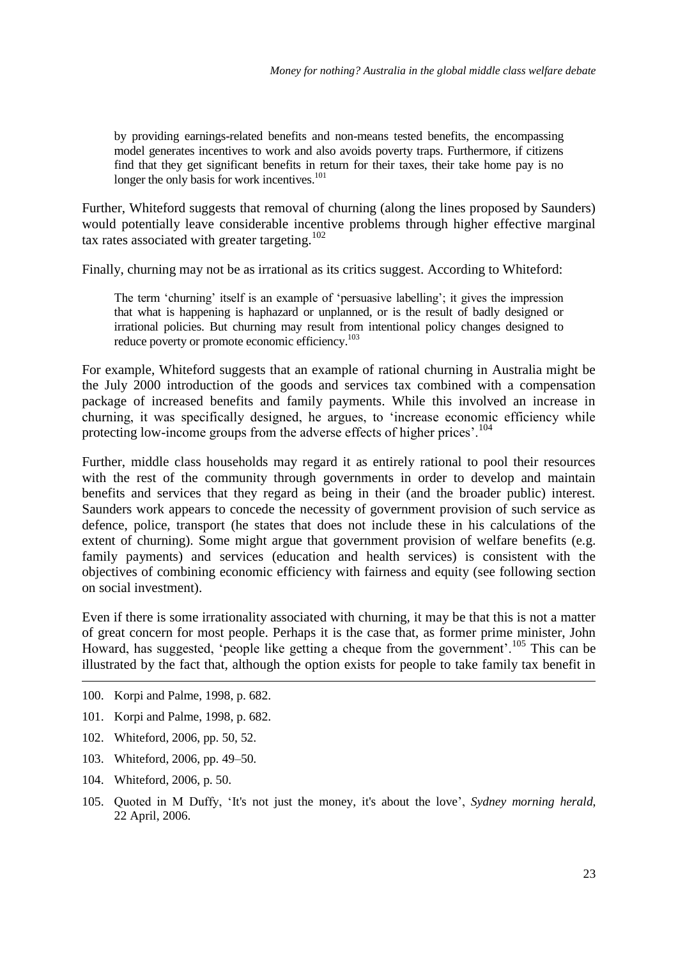by providing earnings-related benefits and non-means tested benefits, the encompassing model generates incentives to work and also avoids poverty traps. Furthermore, if citizens find that they get significant benefits in return for their taxes, their take home pay is no longer the only basis for work incentives.<sup>101</sup>

Further, Whiteford suggests that removal of churning (along the lines proposed by Saunders) would potentially leave considerable incentive problems through higher effective marginal tax rates associated with greater targeting.<sup>102</sup>

Finally, churning may not be as irrational as its critics suggest. According to Whiteford:

The term 'churning' itself is an example of 'persuasive labelling'; it gives the impression that what is happening is haphazard or unplanned, or is the result of badly designed or irrational policies. But churning may result from intentional policy changes designed to reduce poverty or promote economic efficiency.<sup>103</sup>

For example, Whiteford suggests that an example of rational churning in Australia might be the July 2000 introduction of the goods and services tax combined with a compensation package of increased benefits and family payments. While this involved an increase in churning, it was specifically designed, he argues, to 'increase economic efficiency while protecting low-income groups from the adverse effects of higher prices'.<sup>104</sup>

Further, middle class households may regard it as entirely rational to pool their resources with the rest of the community through governments in order to develop and maintain benefits and services that they regard as being in their (and the broader public) interest. Saunders work appears to concede the necessity of government provision of such service as defence, police, transport (he states that does not include these in his calculations of the extent of churning). Some might argue that government provision of welfare benefits (e.g. family payments) and services (education and health services) is consistent with the objectives of combining economic efficiency with fairness and equity (see following section on social investment).

Even if there is some irrationality associated with churning, it may be that this is not a matter of great concern for most people. Perhaps it is the case that, as former prime minister, John Howard, has suggested, 'people like getting a cheque from the government'.<sup>105</sup> This can be illustrated by the fact that, although the option exists for people to take family tax benefit in

- 100. Korpi and Palme, 1998, p. 682.
- 101. Korpi and Palme, 1998, p. 682.
- 102. Whiteford, 2006, pp. 50, 52.
- 103. Whiteford, 2006, pp. 49–50.
- 104. Whiteford, 2006, p. 50.

<u>.</u>

105. Quoted in M Duffy, ‗It's not just the money, it's about the love', *Sydney morning herald*, 22 April, 2006.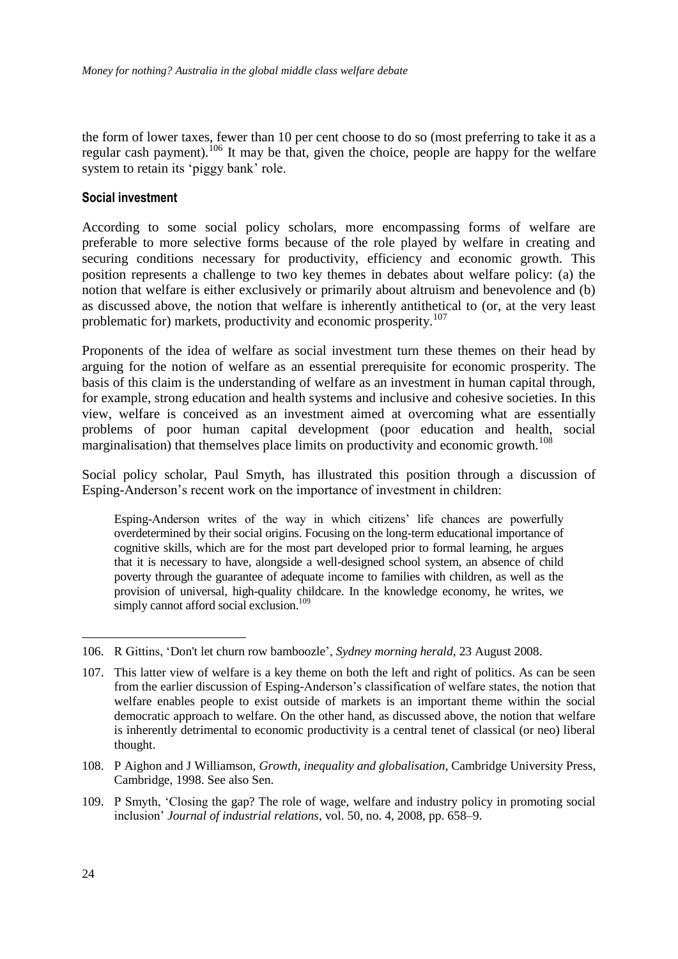the form of lower taxes, fewer than 10 per cent choose to do so (most preferring to take it as a regular cash payment).<sup>106</sup> It may be that, given the choice, people are happy for the welfare system to retain its 'piggy bank' role.

#### **Social investment**

According to some social policy scholars, more encompassing forms of welfare are preferable to more selective forms because of the role played by welfare in creating and securing conditions necessary for productivity, efficiency and economic growth. This position represents a challenge to two key themes in debates about welfare policy: (a) the notion that welfare is either exclusively or primarily about altruism and benevolence and (b) as discussed above, the notion that welfare is inherently antithetical to (or, at the very least problematic for) markets, productivity and economic prosperity.<sup>107</sup>

Proponents of the idea of welfare as social investment turn these themes on their head by arguing for the notion of welfare as an essential prerequisite for economic prosperity. The basis of this claim is the understanding of welfare as an investment in human capital through, for example, strong education and health systems and inclusive and cohesive societies. In this view, welfare is conceived as an investment aimed at overcoming what are essentially problems of poor human capital development (poor education and health, social marginalisation) that themselves place limits on productivity and economic growth.<sup>108</sup>

Social policy scholar, Paul Smyth, has illustrated this position through a discussion of Esping-Anderson's recent work on the importance of investment in children:

Esping-Anderson writes of the way in which citizens' life chances are powerfully overdetermined by their social origins. Focusing on the long-term educational importance of cognitive skills, which are for the most part developed prior to formal learning, he argues that it is necessary to have, alongside a well-designed school system, an absence of child poverty through the guarantee of adequate income to families with children, as well as the provision of universal, high-quality childcare. In the knowledge economy, he writes, we simply cannot afford social exclusion.<sup>109</sup>

<sup>106.</sup> R Gittins, ‗Don't let churn row bamboozle', *Sydney morning herald*, 23 August 2008.

<sup>107.</sup> This latter view of welfare is a key theme on both the left and right of politics. As can be seen from the earlier discussion of Esping-Anderson's classification of welfare states, the notion that welfare enables people to exist outside of markets is an important theme within the social democratic approach to welfare. On the other hand, as discussed above, the notion that welfare is inherently detrimental to economic productivity is a central tenet of classical (or neo) liberal thought.

<sup>108.</sup> P Aighon and J Williamson, *Growth, inequality and globalisation*, Cambridge University Press, Cambridge, 1998. See also Sen.

<sup>109.</sup> P Smyth, ‗Closing the gap? The role of wage, welfare and industry policy in promoting social inclusion' *Journal of industrial relations*, vol. 50, no. 4, 2008, pp. 658–9.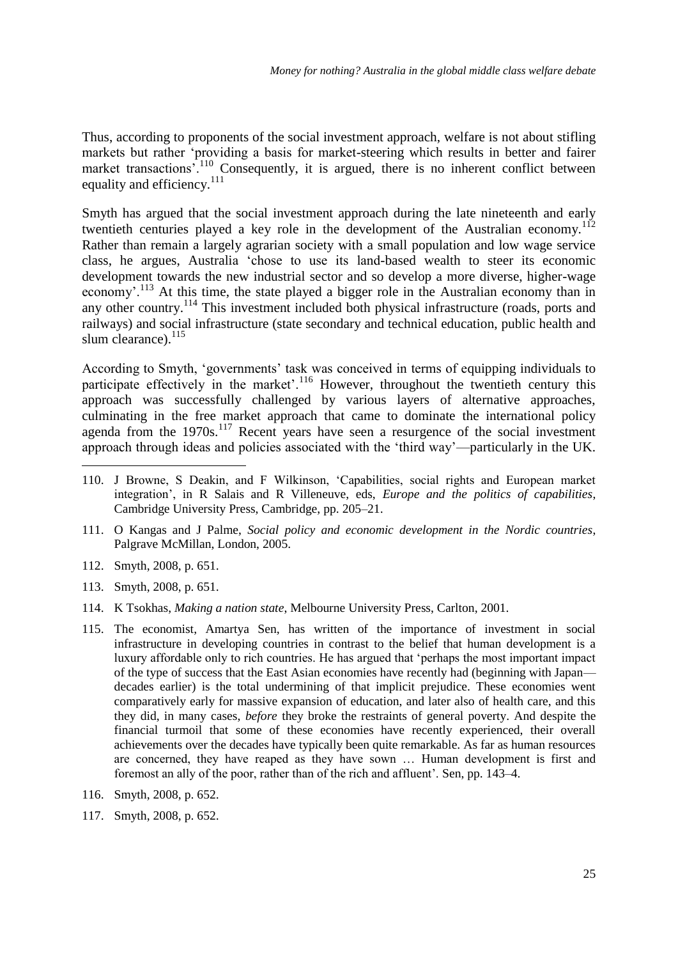Thus, according to proponents of the social investment approach, welfare is not about stifling markets but rather 'providing a basis for market-steering which results in better and fairer market transactions<sup>'.110</sup> Consequently, it is argued, there is no inherent conflict between equality and efficiency. $^{111}$ 

Smyth has argued that the social investment approach during the late nineteenth and early twentieth centuries played a key role in the development of the Australian economy.<sup>112</sup> Rather than remain a largely agrarian society with a small population and low wage service class, he argues, Australia 'chose to use its land-based wealth to steer its economic development towards the new industrial sector and so develop a more diverse, higher-wage economy'.<sup>113</sup> At this time, the state played a bigger role in the Australian economy than in any other country.<sup>114</sup> This investment included both physical infrastructure (roads, ports and railways) and social infrastructure (state secondary and technical education, public health and slum clearance). $^{115}$ 

According to Smyth, ‗governments' task was conceived in terms of equipping individuals to participate effectively in the market'.<sup>116</sup> However, throughout the twentieth century this approach was successfully challenged by various layers of alternative approaches, culminating in the free market approach that came to dominate the international policy agenda from the  $1970s$ .<sup>117</sup> Recent years have seen a resurgence of the social investment approach through ideas and policies associated with the 'third way'—particularly in the UK.

- 110. J Browne, S Deakin, and F Wilkinson, ‗Capabilities, social rights and European market integration', in R Salais and R Villeneuve, eds, *Europe and the politics of capabilities*, Cambridge University Press, Cambridge, pp. 205–21.
- 111. O Kangas and J Palme, *Social policy and economic development in the Nordic countries*, Palgrave McMillan, London, 2005.
- 112. Smyth, 2008, p. 651.

-

- 113. Smyth, 2008, p. 651.
- 114. K Tsokhas, *Making a nation state*, Melbourne University Press, Carlton, 2001.
- 115. The economist, Amartya Sen, has written of the importance of investment in social infrastructure in developing countries in contrast to the belief that human development is a luxury affordable only to rich countries. He has argued that ‗perhaps the most important impact of the type of success that the East Asian economies have recently had (beginning with Japan decades earlier) is the total undermining of that implicit prejudice. These economies went comparatively early for massive expansion of education, and later also of health care, and this they did, in many cases, *before* they broke the restraints of general poverty. And despite the financial turmoil that some of these economies have recently experienced, their overall achievements over the decades have typically been quite remarkable. As far as human resources are concerned, they have reaped as they have sown … Human development is first and foremost an ally of the poor, rather than of the rich and affluent'. Sen, pp. 143–4.
- 116. Smyth, 2008, p. 652.
- 117. Smyth, 2008, p. 652.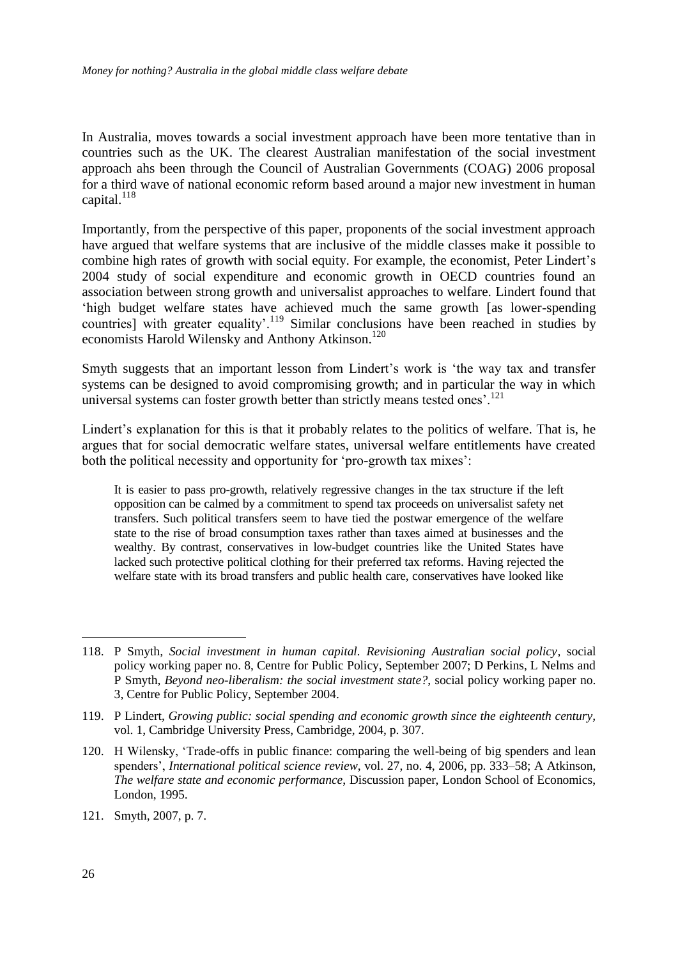In Australia, moves towards a social investment approach have been more tentative than in countries such as the UK. The clearest Australian manifestation of the social investment approach ahs been through the Council of Australian Governments (COAG) 2006 proposal for a third wave of national economic reform based around a major new investment in human capital. $^{118}$ 

Importantly, from the perspective of this paper, proponents of the social investment approach have argued that welfare systems that are inclusive of the middle classes make it possible to combine high rates of growth with social equity. For example, the economist, Peter Lindert's 2004 study of social expenditure and economic growth in OECD countries found an association between strong growth and universalist approaches to welfare. Lindert found that ‗high budget welfare states have achieved much the same growth [as lower-spending countries] with greater equality'.<sup>119</sup> Similar conclusions have been reached in studies by economists Harold Wilensky and Anthony Atkinson.<sup>120</sup>

Smyth suggests that an important lesson from Lindert's work is 'the way tax and transfer systems can be designed to avoid compromising growth; and in particular the way in which universal systems can foster growth better than strictly means tested ones'.<sup>121</sup>

Lindert's explanation for this is that it probably relates to the politics of welfare. That is, he argues that for social democratic welfare states, universal welfare entitlements have created both the political necessity and opportunity for 'pro-growth tax mixes':

It is easier to pass pro-growth, relatively regressive changes in the tax structure if the left opposition can be calmed by a commitment to spend tax proceeds on universalist safety net transfers. Such political transfers seem to have tied the postwar emergence of the welfare state to the rise of broad consumption taxes rather than taxes aimed at businesses and the wealthy. By contrast, conservatives in low-budget countries like the United States have lacked such protective political clothing for their preferred tax reforms. Having rejected the welfare state with its broad transfers and public health care, conservatives have looked like

<sup>118.</sup> P Smyth*, Social investment in human capital. Revisioning Australian social policy,* social policy working paper no. 8, Centre for Public Policy, September 2007; D Perkins, L Nelms and P Smyth, *Beyond neo-liberalism: the social investment state?*, social policy working paper no. 3, Centre for Public Policy, September 2004.

<sup>119.</sup> P Lindert, *Growing public: social spending and economic growth since the eighteenth century,*  vol. 1, Cambridge University Press, Cambridge, 2004, p. 307.

<sup>120.</sup> H Wilensky, ‗Trade-offs in public finance: comparing the well-being of big spenders and lean spenders', *International political science review*, vol. 27, no. 4, 2006, pp. 333–58; A Atkinson, *The welfare state and economic performance*, Discussion paper, London School of Economics, London, 1995.

<sup>121.</sup> Smyth, 2007, p. 7.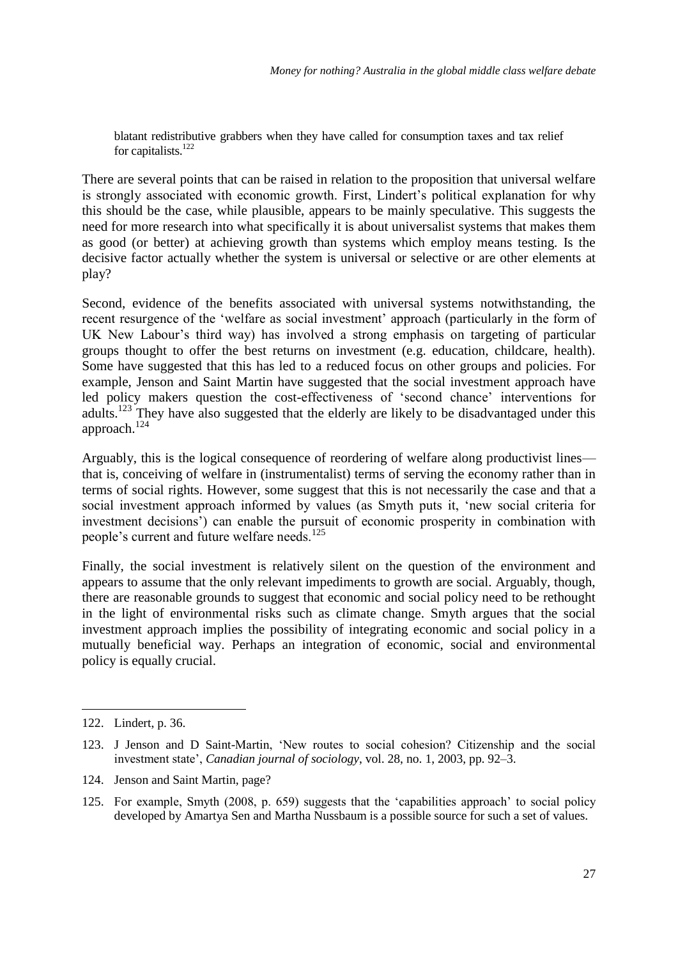blatant redistributive grabbers when they have called for consumption taxes and tax relief for capitalists.<sup>122</sup>

There are several points that can be raised in relation to the proposition that universal welfare is strongly associated with economic growth. First, Lindert's political explanation for why this should be the case, while plausible, appears to be mainly speculative. This suggests the need for more research into what specifically it is about universalist systems that makes them as good (or better) at achieving growth than systems which employ means testing. Is the decisive factor actually whether the system is universal or selective or are other elements at play?

Second, evidence of the benefits associated with universal systems notwithstanding, the recent resurgence of the 'welfare as social investment' approach (particularly in the form of UK New Labour's third way) has involved a strong emphasis on targeting of particular groups thought to offer the best returns on investment (e.g. education, childcare, health). Some have suggested that this has led to a reduced focus on other groups and policies. For example, Jenson and Saint Martin have suggested that the social investment approach have led policy makers question the cost-effectiveness of 'second chance' interventions for adults.<sup>123</sup> They have also suggested that the elderly are likely to be disadvantaged under this approach.<sup>124</sup>

Arguably, this is the logical consequence of reordering of welfare along productivist lines that is, conceiving of welfare in (instrumentalist) terms of serving the economy rather than in terms of social rights. However, some suggest that this is not necessarily the case and that a social investment approach informed by values (as Smyth puts it, 'new social criteria for investment decisions') can enable the pursuit of economic prosperity in combination with people's current and future welfare needs.<sup>125</sup>

Finally, the social investment is relatively silent on the question of the environment and appears to assume that the only relevant impediments to growth are social. Arguably, though, there are reasonable grounds to suggest that economic and social policy need to be rethought in the light of environmental risks such as climate change. Smyth argues that the social investment approach implies the possibility of integrating economic and social policy in a mutually beneficial way. Perhaps an integration of economic, social and environmental policy is equally crucial.

<sup>122.</sup> Lindert, p. 36.

<sup>123.</sup> J Jenson and D Saint-Martin, 'New routes to social cohesion? Citizenship and the social investment state', *Canadian journal of sociology*, vol. 28, no. 1, 2003, pp. 92–3.

<sup>124.</sup> Jenson and Saint Martin, page?

<sup>125.</sup> For example, Smyth (2008, p. 659) suggests that the 'capabilities approach' to social policy developed by Amartya Sen and Martha Nussbaum is a possible source for such a set of values.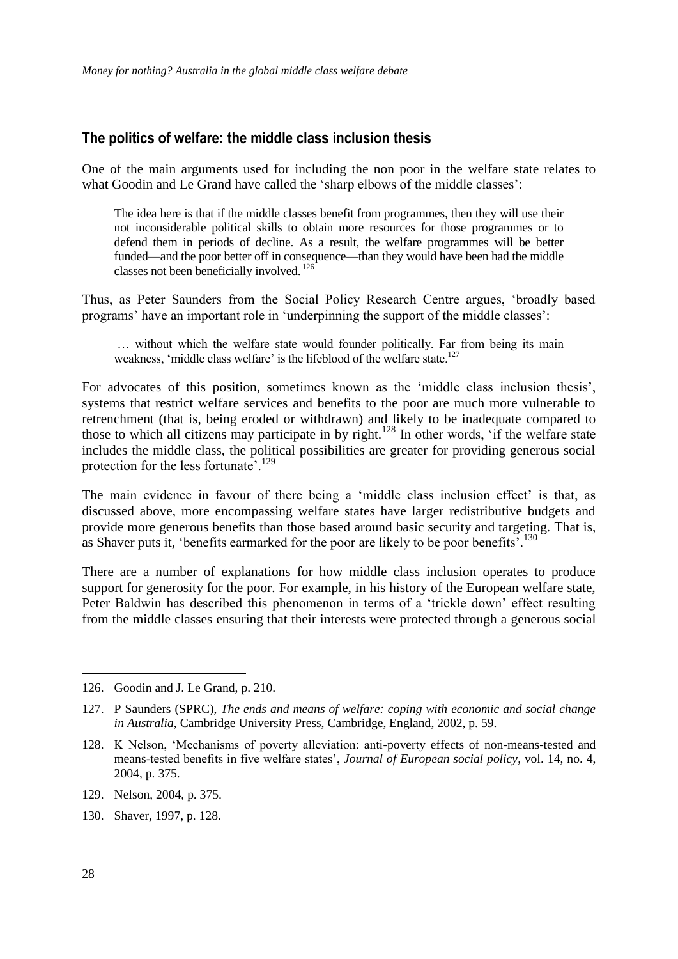#### **The politics of welfare: the middle class inclusion thesis**

One of the main arguments used for including the non poor in the welfare state relates to what Goodin and Le Grand have called the 'sharp elbows of the middle classes':

The idea here is that if the middle classes benefit from programmes, then they will use their not inconsiderable political skills to obtain more resources for those programmes or to defend them in periods of decline. As a result, the welfare programmes will be better funded—and the poor better off in consequence—than they would have been had the middle classes not been beneficially involved. <sup>126</sup>

Thus, as Peter Saunders from the Social Policy Research Centre argues, ‗broadly based programs' have an important role in ‗underpinning the support of the middle classes':

… without which the welfare state would founder politically. Far from being its main weakness, 'middle class welfare' is the lifeblood of the welfare state.<sup>127</sup>

For advocates of this position, sometimes known as the 'middle class inclusion thesis', systems that restrict welfare services and benefits to the poor are much more vulnerable to retrenchment (that is, being eroded or withdrawn) and likely to be inadequate compared to those to which all citizens may participate in by right.<sup>128</sup> In other words, 'if the welfare state includes the middle class, the political possibilities are greater for providing generous social protection for the less fortunate'.<sup>129</sup>

The main evidence in favour of there being a 'middle class inclusion effect' is that, as discussed above, more encompassing welfare states have larger redistributive budgets and provide more generous benefits than those based around basic security and targeting. That is, as Shaver puts it, 'benefits earmarked for the poor are likely to be poor benefits'.<sup>130</sup>

There are a number of explanations for how middle class inclusion operates to produce support for generosity for the poor. For example, in his history of the European welfare state, Peter Baldwin has described this phenomenon in terms of a 'trickle down' effect resulting from the middle classes ensuring that their interests were protected through a generous social

130. Shaver, 1997, p. 128.

<sup>126.</sup> Goodin and J. Le Grand, p. 210.

<sup>127.</sup> P Saunders (SPRC), *The ends and means of welfare: coping with economic and social change in Australia*, Cambridge University Press, Cambridge, England, 2002, p. 59.

<sup>128.</sup> K Nelson, 'Mechanisms of poverty alleviation: anti-poverty effects of non-means-tested and means-tested benefits in five welfare states', *Journal of European social policy*, vol. 14, no. 4, 2004, p. 375.

<sup>129.</sup> Nelson, 2004, p. 375.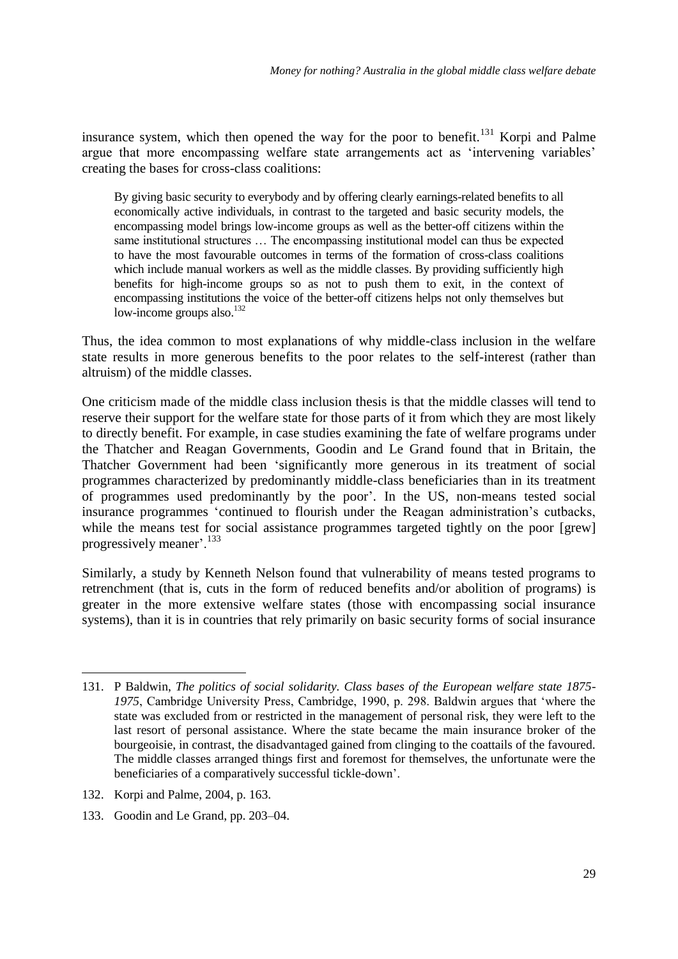insurance system, which then opened the way for the poor to benefit.<sup>131</sup> Korpi and Palme argue that more encompassing welfare state arrangements act as 'intervening variables' creating the bases for cross-class coalitions:

By giving basic security to everybody and by offering clearly earnings-related benefits to all economically active individuals, in contrast to the targeted and basic security models, the encompassing model brings low-income groups as well as the better-off citizens within the same institutional structures … The encompassing institutional model can thus be expected to have the most favourable outcomes in terms of the formation of cross-class coalitions which include manual workers as well as the middle classes. By providing sufficiently high benefits for high-income groups so as not to push them to exit, in the context of encompassing institutions the voice of the better-off citizens helps not only themselves but low-income groups also. $132$ 

Thus, the idea common to most explanations of why middle-class inclusion in the welfare state results in more generous benefits to the poor relates to the self-interest (rather than altruism) of the middle classes.

One criticism made of the middle class inclusion thesis is that the middle classes will tend to reserve their support for the welfare state for those parts of it from which they are most likely to directly benefit. For example, in case studies examining the fate of welfare programs under the Thatcher and Reagan Governments, Goodin and Le Grand found that in Britain, the Thatcher Government had been 'significantly more generous in its treatment of social programmes characterized by predominantly middle-class beneficiaries than in its treatment of programmes used predominantly by the poor'. In the US, non-means tested social insurance programmes ‗continued to flourish under the Reagan administration's cutbacks, while the means test for social assistance programmes targeted tightly on the poor [grew] progressively meaner'.<sup>133</sup>

Similarly, a study by Kenneth Nelson found that vulnerability of means tested programs to retrenchment (that is, cuts in the form of reduced benefits and/or abolition of programs) is greater in the more extensive welfare states (those with encompassing social insurance systems), than it is in countries that rely primarily on basic security forms of social insurance

- 132. Korpi and Palme, 2004, p. 163.
- 133. Goodin and Le Grand, pp. 203–04.

<sup>-</sup>131. P Baldwin, *The politics of social solidarity. Class bases of the European welfare state 1875-* 1975, Cambridge University Press, Cambridge, 1990, p. 298. Baldwin argues that 'where the state was excluded from or restricted in the management of personal risk, they were left to the last resort of personal assistance. Where the state became the main insurance broker of the bourgeoisie, in contrast, the disadvantaged gained from clinging to the coattails of the favoured. The middle classes arranged things first and foremost for themselves, the unfortunate were the beneficiaries of a comparatively successful tickle-down'.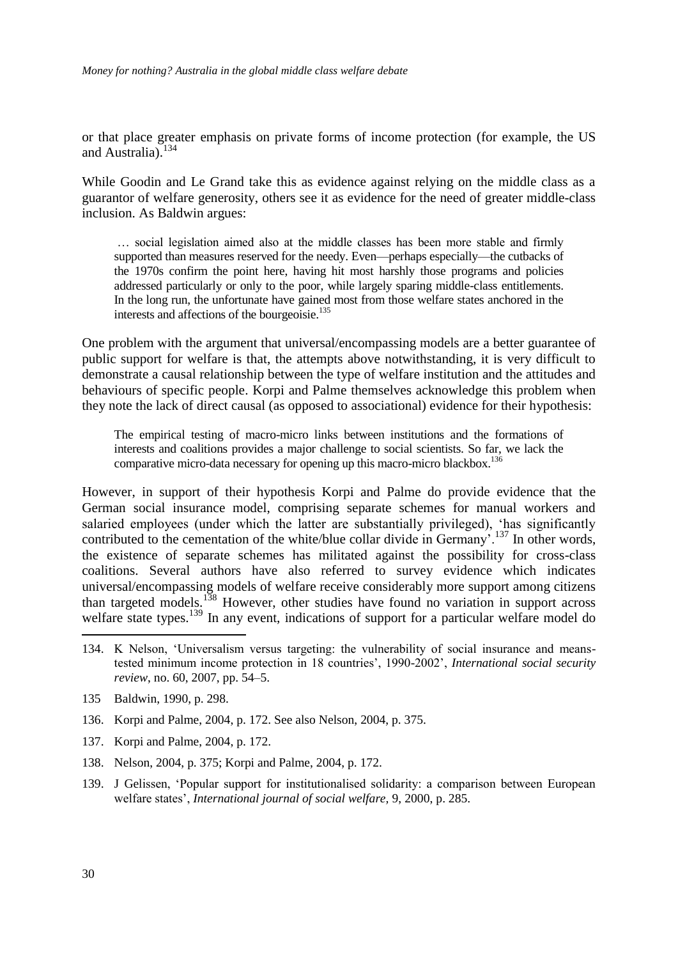or that place greater emphasis on private forms of income protection (for example, the US and Australia). $134$ 

While Goodin and Le Grand take this as evidence against relying on the middle class as a guarantor of welfare generosity, others see it as evidence for the need of greater middle-class inclusion. As Baldwin argues:

… social legislation aimed also at the middle classes has been more stable and firmly supported than measures reserved for the needy. Even—perhaps especially—the cutbacks of the 1970s confirm the point here, having hit most harshly those programs and policies addressed particularly or only to the poor, while largely sparing middle-class entitlements. In the long run, the unfortunate have gained most from those welfare states anchored in the interests and affections of the bourgeoisie.<sup>135</sup>

One problem with the argument that universal/encompassing models are a better guarantee of public support for welfare is that, the attempts above notwithstanding, it is very difficult to demonstrate a causal relationship between the type of welfare institution and the attitudes and behaviours of specific people. Korpi and Palme themselves acknowledge this problem when they note the lack of direct causal (as opposed to associational) evidence for their hypothesis:

The empirical testing of macro-micro links between institutions and the formations of interests and coalitions provides a major challenge to social scientists. So far, we lack the comparative micro-data necessary for opening up this macro-micro blackbox.<sup>136</sup>

However, in support of their hypothesis Korpi and Palme do provide evidence that the German social insurance model, comprising separate schemes for manual workers and salaried employees (under which the latter are substantially privileged), 'has significantly contributed to the cementation of the white/blue collar divide in Germany'.<sup>137</sup> In other words, the existence of separate schemes has militated against the possibility for cross-class coalitions. Several authors have also referred to survey evidence which indicates universal/encompassing models of welfare receive considerably more support among citizens than targeted models.<sup>138</sup> However, other studies have found no variation in support across welfare state types.<sup>139</sup> In any event, indications of support for a particular welfare model do

- 134. K Nelson, ‗Universalism versus targeting: the vulnerability of social insurance and meanstested minimum income protection in 18 countries', 1990-2002', *International social security review*, no. 60, 2007, pp. 54–5.
- 135 Baldwin, 1990, p. 298.
- 136. Korpi and Palme, 2004, p. 172. See also Nelson, 2004, p. 375.
- 137. Korpi and Palme, 2004, p. 172.
- 138. Nelson, 2004, p. 375; Korpi and Palme, 2004, p. 172.
- 139. J Gelissen, 'Popular support for institutionalised solidarity: a comparison between European welfare states', *International journal of social welfare,* 9, 2000, p. 285.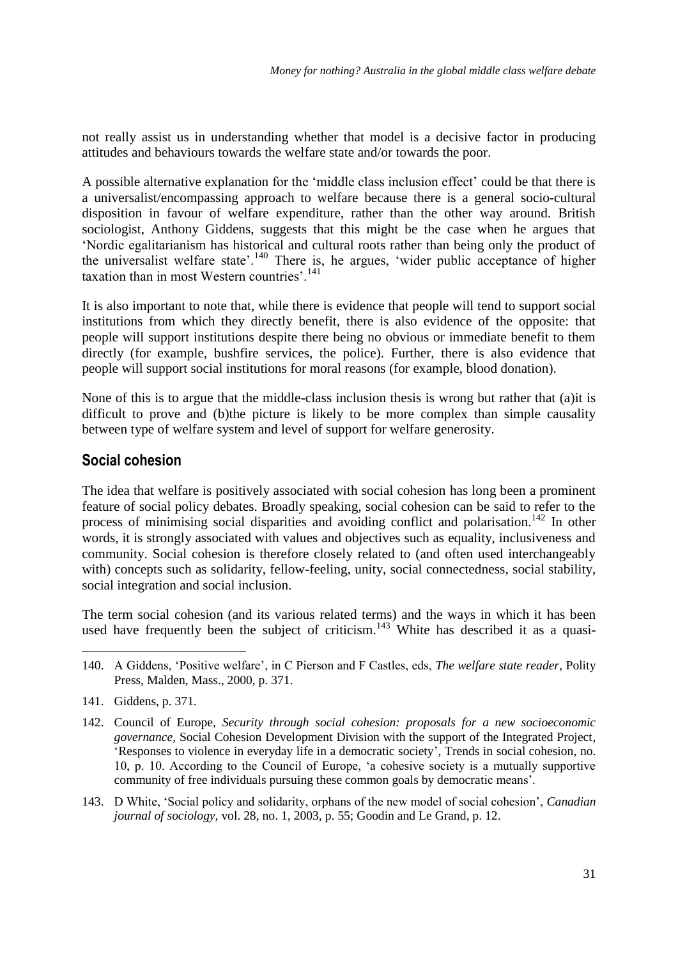not really assist us in understanding whether that model is a decisive factor in producing attitudes and behaviours towards the welfare state and/or towards the poor.

A possible alternative explanation for the 'middle class inclusion effect' could be that there is a universalist/encompassing approach to welfare because there is a general socio-cultural disposition in favour of welfare expenditure, rather than the other way around. British sociologist, Anthony Giddens, suggests that this might be the case when he argues that ‗Nordic egalitarianism has historical and cultural roots rather than being only the product of the universalist welfare state'.<sup>140</sup> There is, he argues, 'wider public acceptance of higher taxation than in most Western countries'.<sup>141</sup>

It is also important to note that, while there is evidence that people will tend to support social institutions from which they directly benefit, there is also evidence of the opposite: that people will support institutions despite there being no obvious or immediate benefit to them directly (for example, bushfire services, the police). Further, there is also evidence that people will support social institutions for moral reasons (for example, blood donation).

None of this is to argue that the middle-class inclusion thesis is wrong but rather that (a)it is difficult to prove and (b)the picture is likely to be more complex than simple causality between type of welfare system and level of support for welfare generosity.

### **Social cohesion**

The idea that welfare is positively associated with social cohesion has long been a prominent feature of social policy debates. Broadly speaking, social cohesion can be said to refer to the process of minimising social disparities and avoiding conflict and polarisation.<sup>142</sup> In other words, it is strongly associated with values and objectives such as equality, inclusiveness and community. Social cohesion is therefore closely related to (and often used interchangeably with) concepts such as solidarity, fellow-feeling, unity, social connectedness, social stability, social integration and social inclusion.

The term social cohesion (and its various related terms) and the ways in which it has been used have frequently been the subject of criticism.<sup>143</sup> White has described it as a quasi-

- 142. Council of Europe, *Security through social cohesion: proposals for a new socioeconomic governance,* Social Cohesion Development Division with the support of the Integrated Project, ‗Responses to violence in everyday life in a democratic society', Trends in social cohesion, no. 10, p. 10. According to the Council of Europe, ‗a cohesive society is a mutually supportive community of free individuals pursuing these common goals by democratic means'.
- 143. D White, ‗Social policy and solidarity, orphans of the new model of social cohesion', *Canadian journal of sociology*, vol. 28, no. 1, 2003, p. 55; Goodin and Le Grand, p. 12.

<sup>&</sup>lt;u>.</u> 140. A Giddens, ‗Positive welfare', in C Pierson and F Castles, eds, *The welfare state reader*, Polity Press, Malden, Mass., 2000, p. 371.

<sup>141.</sup> Giddens, p. 371.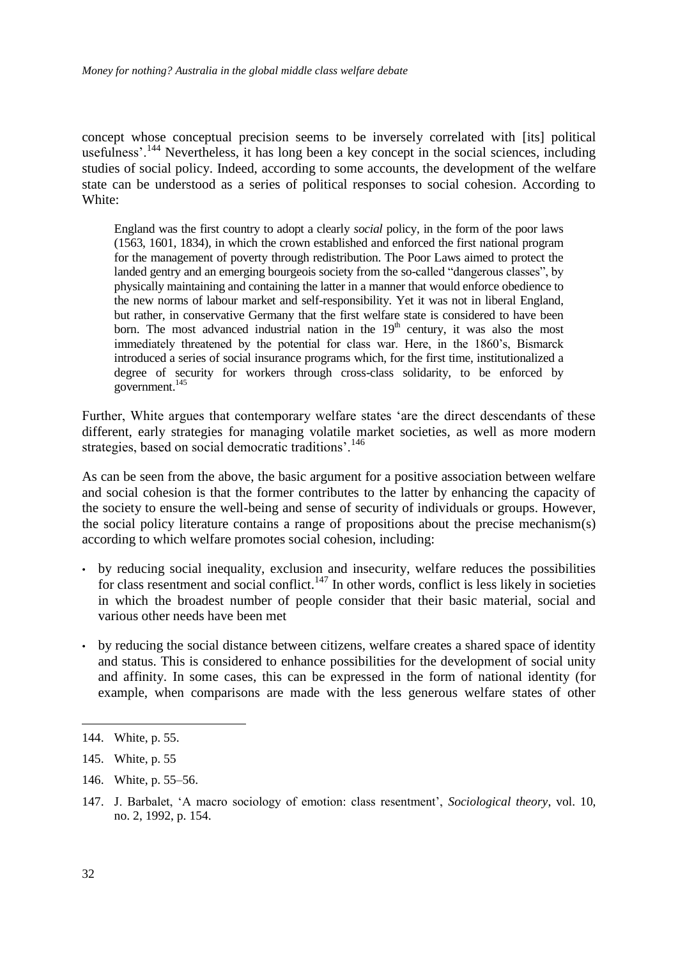concept whose conceptual precision seems to be inversely correlated with [its] political usefulness'.<sup>144</sup> Nevertheless, it has long been a key concept in the social sciences, including studies of social policy. Indeed, according to some accounts, the development of the welfare state can be understood as a series of political responses to social cohesion. According to White:

England was the first country to adopt a clearly *social* policy, in the form of the poor laws (1563, 1601, 1834), in which the crown established and enforced the first national program for the management of poverty through redistribution. The Poor Laws aimed to protect the landed gentry and an emerging bourgeois society from the so-called "dangerous classes", by physically maintaining and containing the latter in a manner that would enforce obedience to the new norms of labour market and self-responsibility. Yet it was not in liberal England, but rather, in conservative Germany that the first welfare state is considered to have been born. The most advanced industrial nation in the  $19<sup>th</sup>$  century, it was also the most immediately threatened by the potential for class war. Here, in the 1860's, Bismarck introduced a series of social insurance programs which, for the first time, institutionalized a degree of security for workers through cross-class solidarity, to be enforced by government.<sup>145</sup>

Further, White argues that contemporary welfare states 'are the direct descendants of these different, early strategies for managing volatile market societies, as well as more modern strategies, based on social democratic traditions'.<sup>146</sup>

As can be seen from the above, the basic argument for a positive association between welfare and social cohesion is that the former contributes to the latter by enhancing the capacity of the society to ensure the well-being and sense of security of individuals or groups. However, the social policy literature contains a range of propositions about the precise mechanism(s) according to which welfare promotes social cohesion, including:

- by reducing social inequality, exclusion and insecurity, welfare reduces the possibilities for class resentment and social conflict.<sup>147</sup> In other words, conflict is less likely in societies in which the broadest number of people consider that their basic material, social and various other needs have been met
- by reducing the social distance between citizens, welfare creates a shared space of identity and status. This is considered to enhance possibilities for the development of social unity and affinity. In some cases, this can be expressed in the form of national identity (for example, when comparisons are made with the less generous welfare states of other

146. White, p. 55–56.

1

<sup>144.</sup> White, p. 55.

<sup>145.</sup> White, p. 55

<sup>147.</sup> J. Barbalet, ‗A macro sociology of emotion: class resentment', *Sociological theory*, vol. 10, no. 2, 1992, p. 154.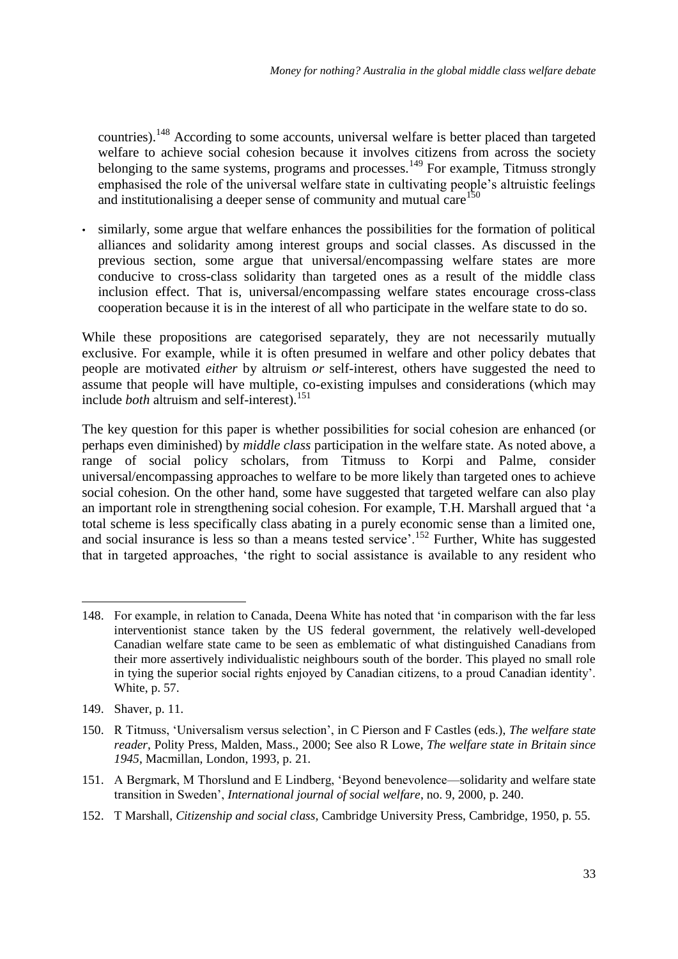countries).<sup>148</sup> According to some accounts, universal welfare is better placed than targeted welfare to achieve social cohesion because it involves citizens from across the society belonging to the same systems, programs and processes.<sup>149</sup> For example, Titmuss strongly emphasised the role of the universal welfare state in cultivating people's altruistic feelings and institutionalising a deeper sense of community and mutual care<sup>150</sup>

similarly, some argue that welfare enhances the possibilities for the formation of political alliances and solidarity among interest groups and social classes. As discussed in the previous section, some argue that universal/encompassing welfare states are more conducive to cross-class solidarity than targeted ones as a result of the middle class inclusion effect. That is, universal/encompassing welfare states encourage cross-class cooperation because it is in the interest of all who participate in the welfare state to do so.

While these propositions are categorised separately, they are not necessarily mutually exclusive. For example, while it is often presumed in welfare and other policy debates that people are motivated *either* by altruism *or* self-interest, others have suggested the need to assume that people will have multiple, co-existing impulses and considerations (which may include *both* altruism and self-interest).<sup>151</sup>

The key question for this paper is whether possibilities for social cohesion are enhanced (or perhaps even diminished) by *middle class* participation in the welfare state. As noted above, a range of social policy scholars, from Titmuss to Korpi and Palme, consider universal/encompassing approaches to welfare to be more likely than targeted ones to achieve social cohesion. On the other hand, some have suggested that targeted welfare can also play an important role in strengthening social cohesion. For example, T.H. Marshall argued that 'a total scheme is less specifically class abating in a purely economic sense than a limited one, and social insurance is less so than a means tested service'.<sup>152</sup> Further, White has suggested that in targeted approaches, 'the right to social assistance is available to any resident who

-

152. T Marshall, *Citizenship and social class,* Cambridge University Press, Cambridge, 1950, p. 55.

<sup>148.</sup> For example, in relation to Canada, Deena White has noted that ‗in comparison with the far less interventionist stance taken by the US federal government, the relatively well-developed Canadian welfare state came to be seen as emblematic of what distinguished Canadians from their more assertively individualistic neighbours south of the border. This played no small role in tying the superior social rights enjoyed by Canadian citizens, to a proud Canadian identity'. White, p. 57.

<sup>149.</sup> Shaver, p. 11.

<sup>150.</sup> R Titmuss, ‗Universalism versus selection', in C Pierson and F Castles (eds.), *The welfare state reader*, Polity Press, Malden, Mass., 2000; See also R Lowe, *The welfare state in Britain since 1945*, Macmillan, London, 1993, p. 21.

<sup>151.</sup> A Bergmark, M Thorslund and E Lindberg, 'Beyond benevolence—solidarity and welfare state transition in Sweden', *International journal of social welfare*, no. 9, 2000, p. 240.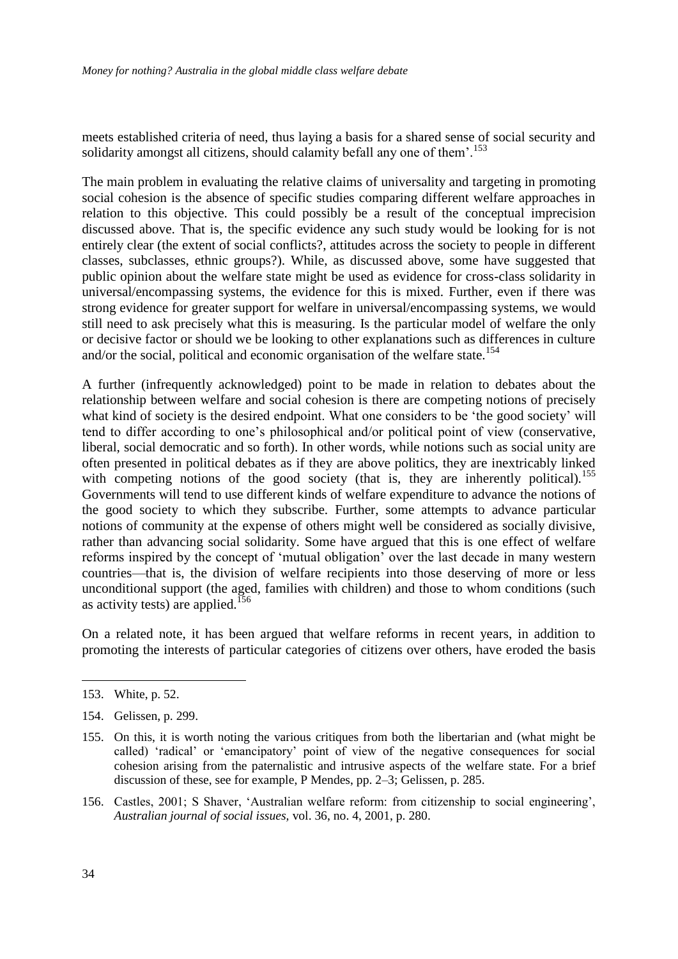meets established criteria of need, thus laying a basis for a shared sense of social security and solidarity amongst all citizens, should calamity befall any one of them'.<sup>153</sup>

The main problem in evaluating the relative claims of universality and targeting in promoting social cohesion is the absence of specific studies comparing different welfare approaches in relation to this objective. This could possibly be a result of the conceptual imprecision discussed above. That is, the specific evidence any such study would be looking for is not entirely clear (the extent of social conflicts?, attitudes across the society to people in different classes, subclasses, ethnic groups?). While, as discussed above, some have suggested that public opinion about the welfare state might be used as evidence for cross-class solidarity in universal/encompassing systems, the evidence for this is mixed. Further, even if there was strong evidence for greater support for welfare in universal/encompassing systems, we would still need to ask precisely what this is measuring. Is the particular model of welfare the only or decisive factor or should we be looking to other explanations such as differences in culture and/or the social, political and economic organisation of the welfare state.<sup>154</sup>

A further (infrequently acknowledged) point to be made in relation to debates about the relationship between welfare and social cohesion is there are competing notions of precisely what kind of society is the desired endpoint. What one considers to be 'the good society' will tend to differ according to one's philosophical and/or political point of view (conservative, liberal, social democratic and so forth). In other words, while notions such as social unity are often presented in political debates as if they are above politics, they are inextricably linked with competing notions of the good society (that is, they are inherently political).<sup>155</sup> Governments will tend to use different kinds of welfare expenditure to advance the notions of the good society to which they subscribe. Further, some attempts to advance particular notions of community at the expense of others might well be considered as socially divisive, rather than advancing social solidarity. Some have argued that this is one effect of welfare reforms inspired by the concept of 'mutual obligation' over the last decade in many western countries—that is, the division of welfare recipients into those deserving of more or less unconditional support (the aged, families with children) and those to whom conditions (such as activity tests) are applied.<sup>156</sup>

On a related note, it has been argued that welfare reforms in recent years, in addition to promoting the interests of particular categories of citizens over others, have eroded the basis

<sup>153.</sup> White, p. 52.

<sup>154.</sup> Gelissen, p. 299.

<sup>155.</sup> On this, it is worth noting the various critiques from both the libertarian and (what might be called) ‗radical' or ‗emancipatory' point of view of the negative consequences for social cohesion arising from the paternalistic and intrusive aspects of the welfare state. For a brief discussion of these, see for example, P Mendes, pp. 2–3; Gelissen, p. 285.

<sup>156.</sup> Castles, 2001; S Shaver, ‗Australian welfare reform: from citizenship to social engineering', *Australian journal of social issues,* vol. 36, no. 4, 2001, p. 280.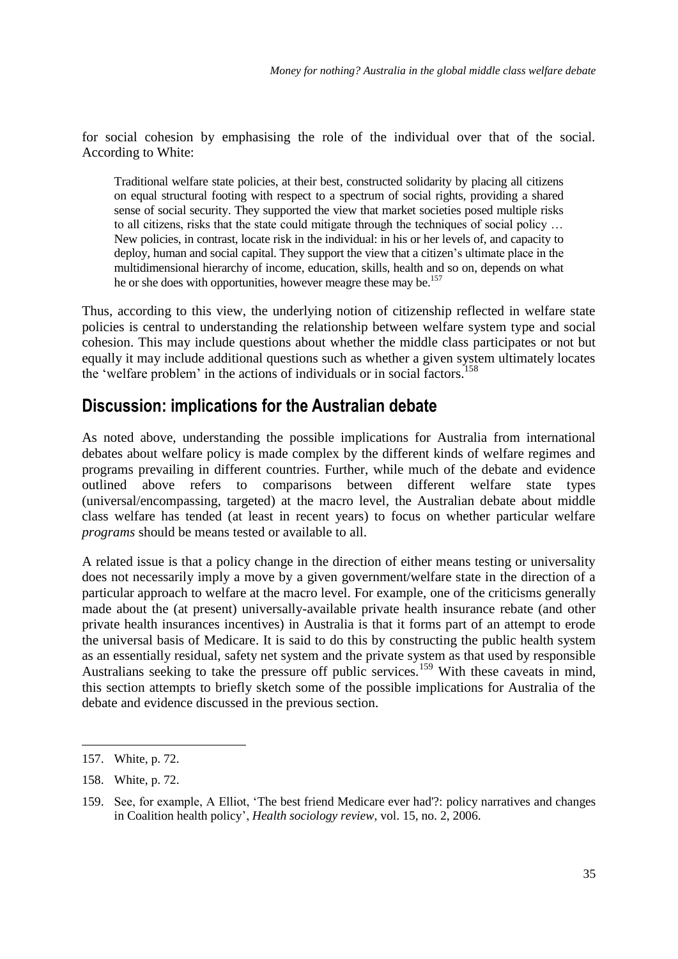for social cohesion by emphasising the role of the individual over that of the social. According to White:

Traditional welfare state policies, at their best, constructed solidarity by placing all citizens on equal structural footing with respect to a spectrum of social rights, providing a shared sense of social security. They supported the view that market societies posed multiple risks to all citizens, risks that the state could mitigate through the techniques of social policy … New policies, in contrast, locate risk in the individual: in his or her levels of, and capacity to deploy, human and social capital. They support the view that a citizen's ultimate place in the multidimensional hierarchy of income, education, skills, health and so on, depends on what he or she does with opportunities, however meagre these may be.<sup>157</sup>

Thus, according to this view, the underlying notion of citizenship reflected in welfare state policies is central to understanding the relationship between welfare system type and social cohesion. This may include questions about whether the middle class participates or not but equally it may include additional questions such as whether a given system ultimately locates the 'welfare problem' in the actions of individuals or in social factors.<sup>158</sup>

## **Discussion: implications for the Australian debate**

As noted above, understanding the possible implications for Australia from international debates about welfare policy is made complex by the different kinds of welfare regimes and programs prevailing in different countries. Further, while much of the debate and evidence outlined above refers to comparisons between different welfare state types (universal/encompassing, targeted) at the macro level, the Australian debate about middle class welfare has tended (at least in recent years) to focus on whether particular welfare *programs* should be means tested or available to all.

A related issue is that a policy change in the direction of either means testing or universality does not necessarily imply a move by a given government/welfare state in the direction of a particular approach to welfare at the macro level. For example, one of the criticisms generally made about the (at present) universally-available private health insurance rebate (and other private health insurances incentives) in Australia is that it forms part of an attempt to erode the universal basis of Medicare. It is said to do this by constructing the public health system as an essentially residual, safety net system and the private system as that used by responsible Australians seeking to take the pressure off public services.<sup>159</sup> With these caveats in mind, this section attempts to briefly sketch some of the possible implications for Australia of the debate and evidence discussed in the previous section.

<sup>157.</sup> White, p. 72.

<sup>158.</sup> White, p. 72.

<sup>159.</sup> See, for example, A Elliot, 'The best friend Medicare ever had'?: policy narratives and changes in Coalition health policy', *Health sociology review*, vol. 15, no. 2, 2006.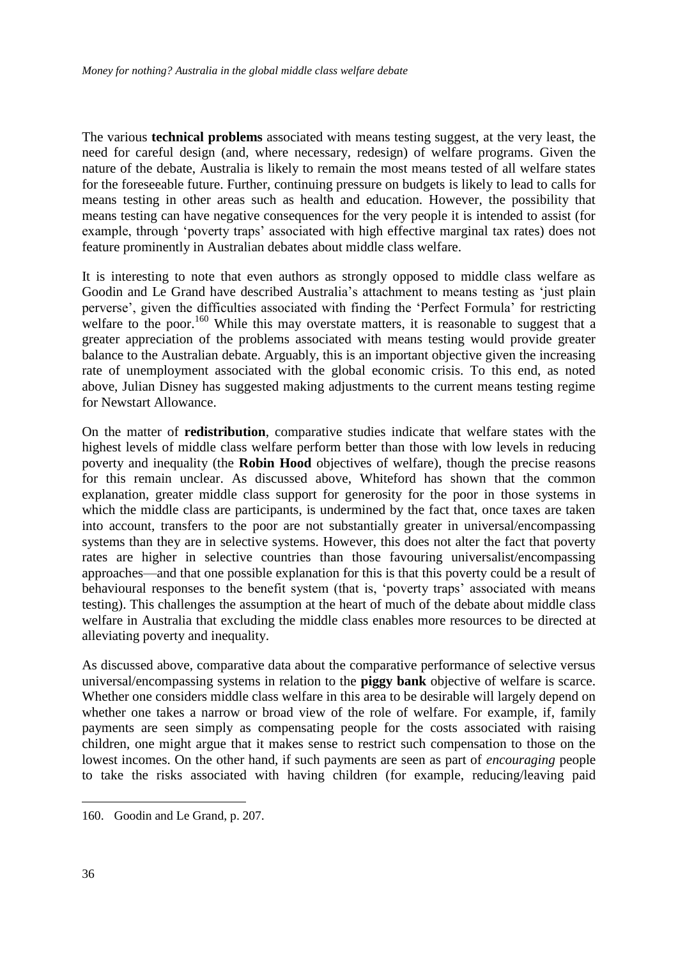The various **technical problems** associated with means testing suggest, at the very least, the need for careful design (and, where necessary, redesign) of welfare programs. Given the nature of the debate, Australia is likely to remain the most means tested of all welfare states for the foreseeable future. Further, continuing pressure on budgets is likely to lead to calls for means testing in other areas such as health and education. However, the possibility that means testing can have negative consequences for the very people it is intended to assist (for example, through 'poverty traps' associated with high effective marginal tax rates) does not feature prominently in Australian debates about middle class welfare.

It is interesting to note that even authors as strongly opposed to middle class welfare as Goodin and Le Grand have described Australia's attachment to means testing as 'just plain perverse', given the difficulties associated with finding the 'Perfect Formula' for restricting welfare to the poor.<sup>160</sup> While this may overstate matters, it is reasonable to suggest that a greater appreciation of the problems associated with means testing would provide greater balance to the Australian debate. Arguably, this is an important objective given the increasing rate of unemployment associated with the global economic crisis. To this end, as noted above, Julian Disney has suggested making adjustments to the current means testing regime for Newstart Allowance.

On the matter of **redistribution**, comparative studies indicate that welfare states with the highest levels of middle class welfare perform better than those with low levels in reducing poverty and inequality (the **Robin Hood** objectives of welfare), though the precise reasons for this remain unclear. As discussed above, Whiteford has shown that the common explanation, greater middle class support for generosity for the poor in those systems in which the middle class are participants, is undermined by the fact that, once taxes are taken into account, transfers to the poor are not substantially greater in universal/encompassing systems than they are in selective systems. However, this does not alter the fact that poverty rates are higher in selective countries than those favouring universalist/encompassing approaches—and that one possible explanation for this is that this poverty could be a result of behavioural responses to the benefit system (that is, 'poverty traps' associated with means testing). This challenges the assumption at the heart of much of the debate about middle class welfare in Australia that excluding the middle class enables more resources to be directed at alleviating poverty and inequality.

As discussed above, comparative data about the comparative performance of selective versus universal/encompassing systems in relation to the **piggy bank** objective of welfare is scarce. Whether one considers middle class welfare in this area to be desirable will largely depend on whether one takes a narrow or broad view of the role of welfare. For example, if, family payments are seen simply as compensating people for the costs associated with raising children, one might argue that it makes sense to restrict such compensation to those on the lowest incomes. On the other hand, if such payments are seen as part of *encouraging* people to take the risks associated with having children (for example, reducing/leaving paid

<sup>160.</sup> Goodin and Le Grand, p. 207.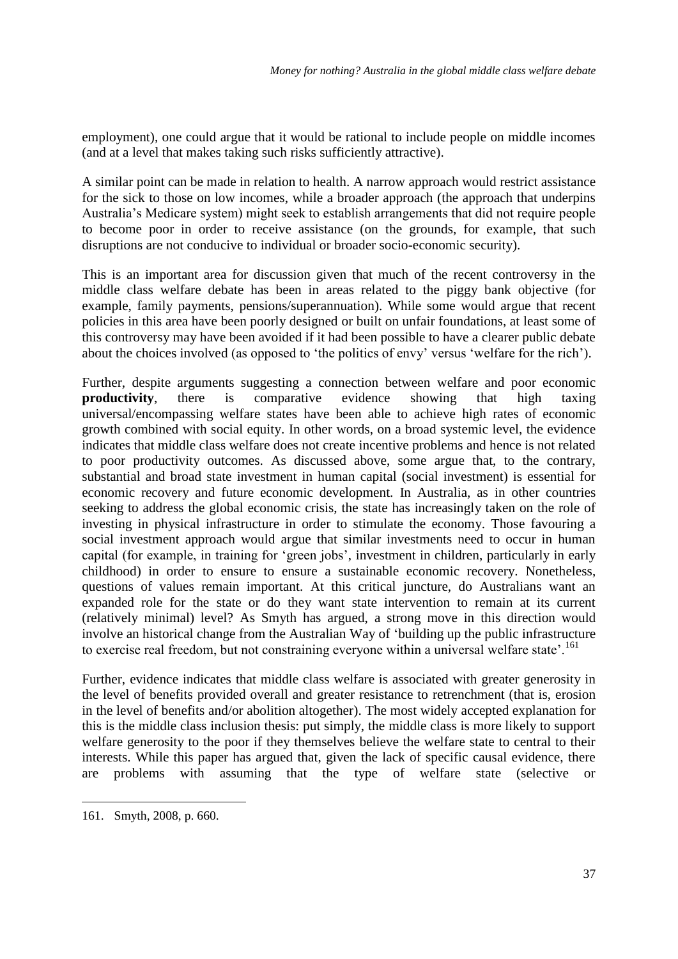employment), one could argue that it would be rational to include people on middle incomes (and at a level that makes taking such risks sufficiently attractive).

A similar point can be made in relation to health. A narrow approach would restrict assistance for the sick to those on low incomes, while a broader approach (the approach that underpins Australia's Medicare system) might seek to establish arrangements that did not require people to become poor in order to receive assistance (on the grounds, for example, that such disruptions are not conducive to individual or broader socio-economic security).

This is an important area for discussion given that much of the recent controversy in the middle class welfare debate has been in areas related to the piggy bank objective (for example, family payments, pensions/superannuation). While some would argue that recent policies in this area have been poorly designed or built on unfair foundations, at least some of this controversy may have been avoided if it had been possible to have a clearer public debate about the choices involved (as opposed to 'the politics of envy' versus 'welfare for the rich').

Further, despite arguments suggesting a connection between welfare and poor economic **productivity**, there is comparative evidence showing that high taxing universal/encompassing welfare states have been able to achieve high rates of economic growth combined with social equity. In other words, on a broad systemic level, the evidence indicates that middle class welfare does not create incentive problems and hence is not related to poor productivity outcomes. As discussed above, some argue that, to the contrary, substantial and broad state investment in human capital (social investment) is essential for economic recovery and future economic development. In Australia, as in other countries seeking to address the global economic crisis, the state has increasingly taken on the role of investing in physical infrastructure in order to stimulate the economy. Those favouring a social investment approach would argue that similar investments need to occur in human capital (for example, in training for ‗green jobs', investment in children, particularly in early childhood) in order to ensure to ensure a sustainable economic recovery. Nonetheless, questions of values remain important. At this critical juncture, do Australians want an expanded role for the state or do they want state intervention to remain at its current (relatively minimal) level? As Smyth has argued, a strong move in this direction would involve an historical change from the Australian Way of 'building up the public infrastructure to exercise real freedom, but not constraining everyone within a universal welfare state'.<sup>161</sup>

Further, evidence indicates that middle class welfare is associated with greater generosity in the level of benefits provided overall and greater resistance to retrenchment (that is, erosion in the level of benefits and/or abolition altogether). The most widely accepted explanation for this is the middle class inclusion thesis: put simply, the middle class is more likely to support welfare generosity to the poor if they themselves believe the welfare state to central to their interests. While this paper has argued that, given the lack of specific causal evidence, there are problems with assuming that the type of welfare state (selective or

<sup>161.</sup> Smyth, 2008, p. 660.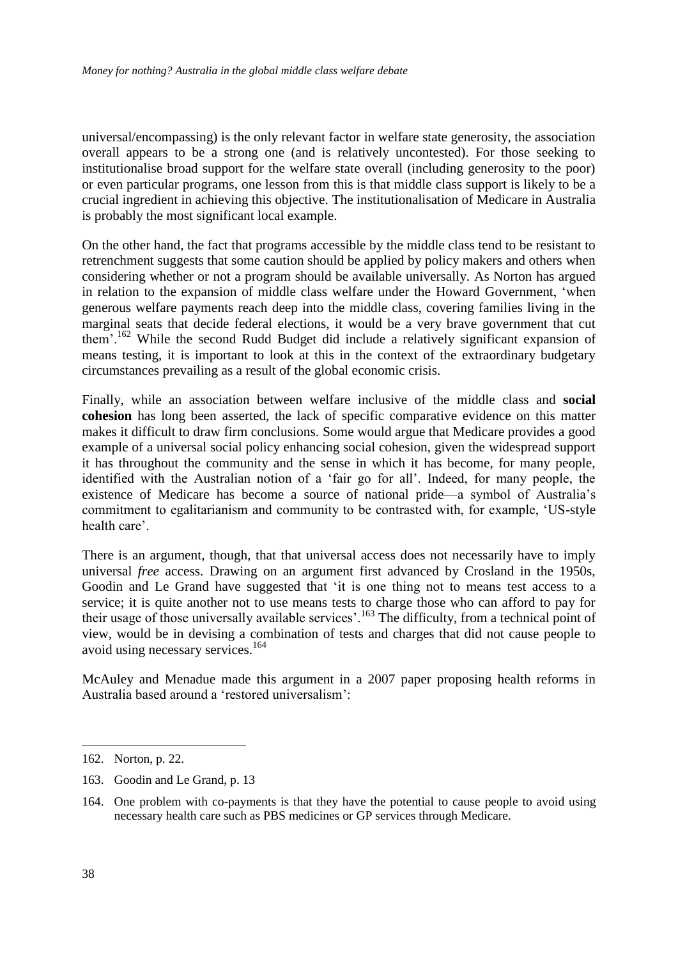universal/encompassing) is the only relevant factor in welfare state generosity, the association overall appears to be a strong one (and is relatively uncontested). For those seeking to institutionalise broad support for the welfare state overall (including generosity to the poor) or even particular programs, one lesson from this is that middle class support is likely to be a crucial ingredient in achieving this objective. The institutionalisation of Medicare in Australia is probably the most significant local example.

On the other hand, the fact that programs accessible by the middle class tend to be resistant to retrenchment suggests that some caution should be applied by policy makers and others when considering whether or not a program should be available universally. As Norton has argued in relation to the expansion of middle class welfare under the Howard Government, 'when generous welfare payments reach deep into the middle class, covering families living in the marginal seats that decide federal elections, it would be a very brave government that cut them'.<sup>162</sup> While the second Rudd Budget did include a relatively significant expansion of means testing, it is important to look at this in the context of the extraordinary budgetary circumstances prevailing as a result of the global economic crisis.

Finally, while an association between welfare inclusive of the middle class and **social cohesion** has long been asserted, the lack of specific comparative evidence on this matter makes it difficult to draw firm conclusions. Some would argue that Medicare provides a good example of a universal social policy enhancing social cohesion, given the widespread support it has throughout the community and the sense in which it has become, for many people, identified with the Australian notion of a 'fair go for all'. Indeed, for many people, the existence of Medicare has become a source of national pride—a symbol of Australia's commitment to egalitarianism and community to be contrasted with, for example, 'US-style health care'.

There is an argument, though, that that universal access does not necessarily have to imply universal *free* access. Drawing on an argument first advanced by Crosland in the 1950s, Goodin and Le Grand have suggested that 'it is one thing not to means test access to a service; it is quite another not to use means tests to charge those who can afford to pay for their usage of those universally available services'.<sup>163</sup> The difficulty, from a technical point of view, would be in devising a combination of tests and charges that did not cause people to avoid using necessary services.<sup>164</sup>

McAuley and Menadue made this argument in a 2007 paper proposing health reforms in Australia based around a 'restored universalism':

<sup>162.</sup> Norton, p. 22.

<sup>163.</sup> Goodin and Le Grand, p. 13

<sup>164.</sup> One problem with co-payments is that they have the potential to cause people to avoid using necessary health care such as PBS medicines or GP services through Medicare.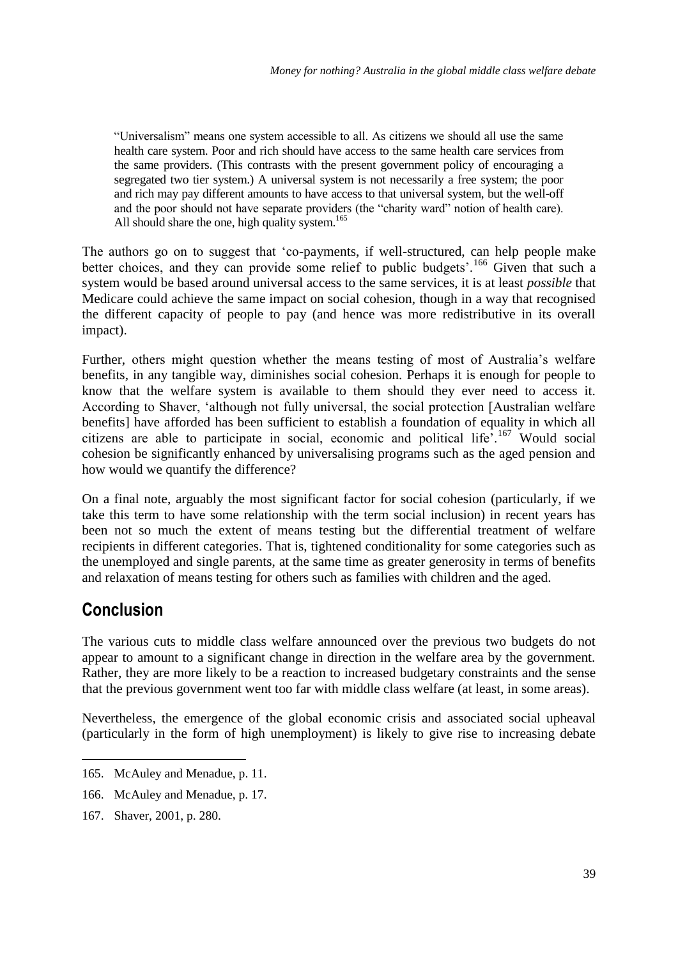―Universalism‖ means one system accessible to all. As citizens we should all use the same health care system. Poor and rich should have access to the same health care services from the same providers. (This contrasts with the present government policy of encouraging a segregated two tier system.) A universal system is not necessarily a free system; the poor and rich may pay different amounts to have access to that universal system, but the well-off and the poor should not have separate providers (the "charity ward" notion of health care). All should share the one, high quality system.<sup>165</sup>

The authors go on to suggest that 'co-payments, if well-structured, can help people make better choices, and they can provide some relief to public budgets'.<sup>166</sup> Given that such a system would be based around universal access to the same services, it is at least *possible* that Medicare could achieve the same impact on social cohesion, though in a way that recognised the different capacity of people to pay (and hence was more redistributive in its overall impact).

Further, others might question whether the means testing of most of Australia's welfare benefits, in any tangible way, diminishes social cohesion. Perhaps it is enough for people to know that the welfare system is available to them should they ever need to access it. According to Shaver, 'although not fully universal, the social protection [Australian welfare benefits] have afforded has been sufficient to establish a foundation of equality in which all citizens are able to participate in social, economic and political life<sup> $,167$ </sup> Would social cohesion be significantly enhanced by universalising programs such as the aged pension and how would we quantify the difference?

On a final note, arguably the most significant factor for social cohesion (particularly, if we take this term to have some relationship with the term social inclusion) in recent years has been not so much the extent of means testing but the differential treatment of welfare recipients in different categories. That is, tightened conditionality for some categories such as the unemployed and single parents, at the same time as greater generosity in terms of benefits and relaxation of means testing for others such as families with children and the aged.

## **Conclusion**

<u>.</u>

The various cuts to middle class welfare announced over the previous two budgets do not appear to amount to a significant change in direction in the welfare area by the government. Rather, they are more likely to be a reaction to increased budgetary constraints and the sense that the previous government went too far with middle class welfare (at least, in some areas).

Nevertheless, the emergence of the global economic crisis and associated social upheaval (particularly in the form of high unemployment) is likely to give rise to increasing debate

<sup>165.</sup> McAuley and Menadue, p. 11.

<sup>166.</sup> McAuley and Menadue, p. 17.

<sup>167.</sup> Shaver, 2001, p. 280.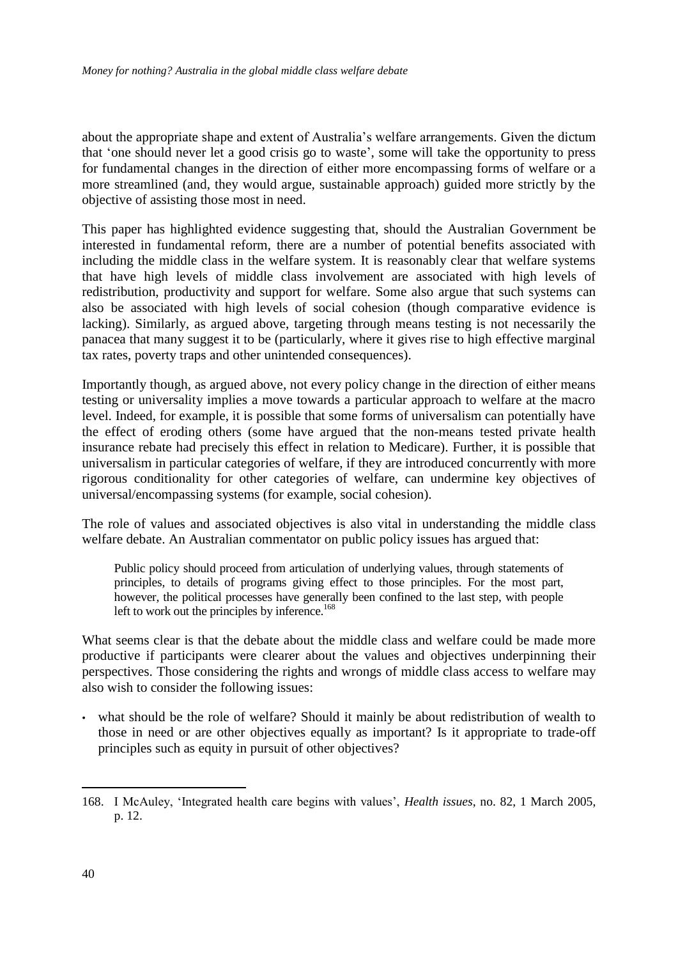about the appropriate shape and extent of Australia's welfare arrangements. Given the dictum that 'one should never let a good crisis go to waste', some will take the opportunity to press for fundamental changes in the direction of either more encompassing forms of welfare or a more streamlined (and, they would argue, sustainable approach) guided more strictly by the objective of assisting those most in need.

This paper has highlighted evidence suggesting that, should the Australian Government be interested in fundamental reform, there are a number of potential benefits associated with including the middle class in the welfare system. It is reasonably clear that welfare systems that have high levels of middle class involvement are associated with high levels of redistribution, productivity and support for welfare. Some also argue that such systems can also be associated with high levels of social cohesion (though comparative evidence is lacking). Similarly, as argued above, targeting through means testing is not necessarily the panacea that many suggest it to be (particularly, where it gives rise to high effective marginal tax rates, poverty traps and other unintended consequences).

Importantly though, as argued above, not every policy change in the direction of either means testing or universality implies a move towards a particular approach to welfare at the macro level. Indeed, for example, it is possible that some forms of universalism can potentially have the effect of eroding others (some have argued that the non-means tested private health insurance rebate had precisely this effect in relation to Medicare). Further, it is possible that universalism in particular categories of welfare, if they are introduced concurrently with more rigorous conditionality for other categories of welfare, can undermine key objectives of universal/encompassing systems (for example, social cohesion).

The role of values and associated objectives is also vital in understanding the middle class welfare debate. An Australian commentator on public policy issues has argued that:

Public policy should proceed from articulation of underlying values, through statements of principles, to details of programs giving effect to those principles. For the most part, however, the political processes have generally been confined to the last step, with people left to work out the principles by inference. $168$ 

What seems clear is that the debate about the middle class and welfare could be made more productive if participants were clearer about the values and objectives underpinning their perspectives. Those considering the rights and wrongs of middle class access to welfare may also wish to consider the following issues:

• what should be the role of welfare? Should it mainly be about redistribution of wealth to those in need or are other objectives equally as important? Is it appropriate to trade-off principles such as equity in pursuit of other objectives?

<sup>1</sup> 168. I McAuley, ‗Integrated health care begins with values', *Health issues*, no. 82, 1 March 2005, p. 12.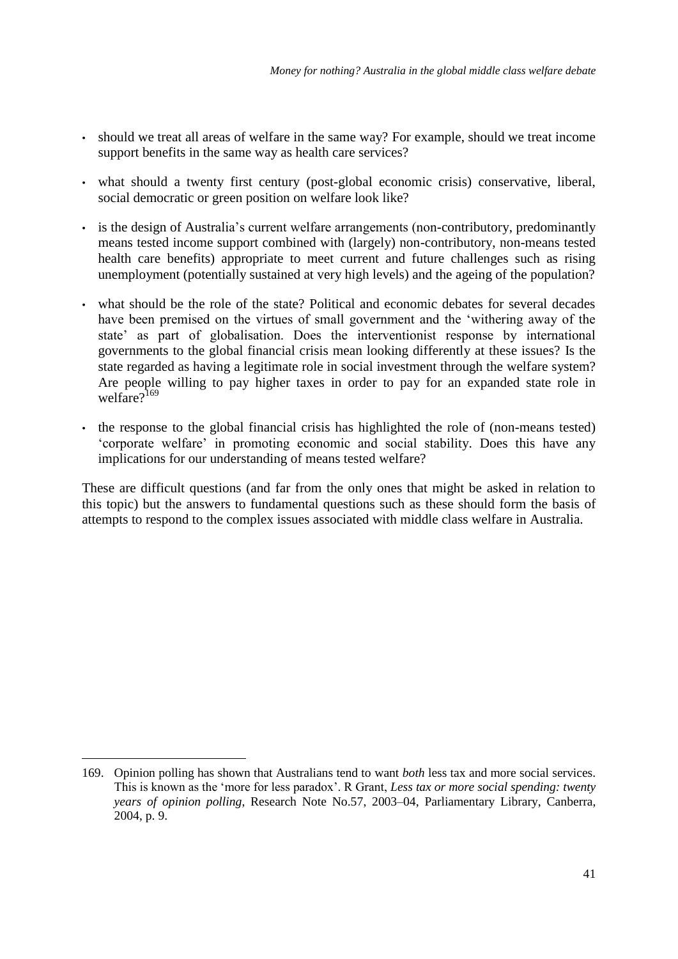- should we treat all areas of welfare in the same way? For example, should we treat income support benefits in the same way as health care services?
- what should a twenty first century (post-global economic crisis) conservative, liberal, social democratic or green position on welfare look like?
- is the design of Australia's current welfare arrangements (non-contributory, predominantly means tested income support combined with (largely) non-contributory, non-means tested health care benefits) appropriate to meet current and future challenges such as rising unemployment (potentially sustained at very high levels) and the ageing of the population?
- what should be the role of the state? Political and economic debates for several decades have been premised on the virtues of small government and the 'withering away of the state' as part of globalisation. Does the interventionist response by international governments to the global financial crisis mean looking differently at these issues? Is the state regarded as having a legitimate role in social investment through the welfare system? Are people willing to pay higher taxes in order to pay for an expanded state role in welfare $2^{169}$
- the response to the global financial crisis has highlighted the role of (non-means tested) ‗corporate welfare' in promoting economic and social stability. Does this have any implications for our understanding of means tested welfare?

These are difficult questions (and far from the only ones that might be asked in relation to this topic) but the answers to fundamental questions such as these should form the basis of attempts to respond to the complex issues associated with middle class welfare in Australia.

<sup>169.</sup> Opinion polling has shown that Australians tend to want *both* less tax and more social services. This is known as the 'more for less paradox'. R Grant, *Less tax or more social spending: twenty years of opinion polling*, Research Note No.57, 2003–04, Parliamentary Library, Canberra, 2004, p. 9.